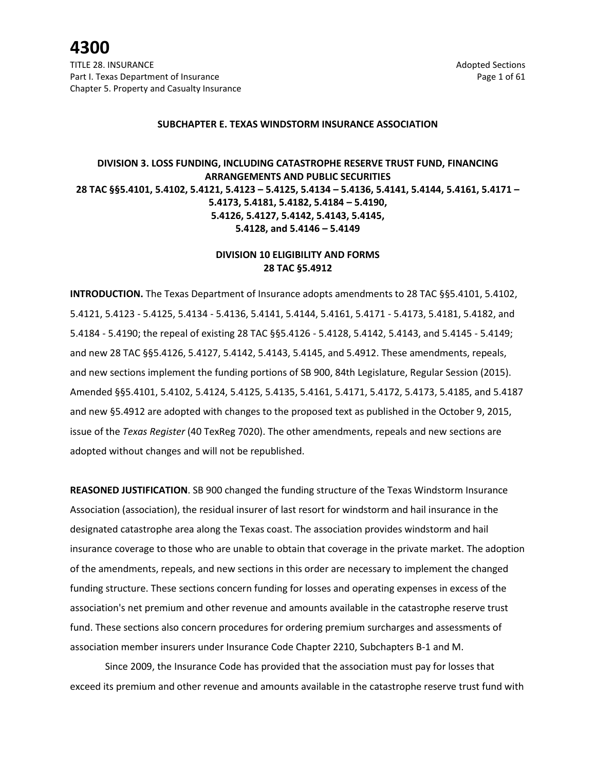#### **SUBCHAPTER E. TEXAS WINDSTORM INSURANCE ASSOCIATION**

### **DIVISION 3. LOSS FUNDING, INCLUDING CATASTROPHE RESERVE TRUST FUND, FINANCING ARRANGEMENTS AND PUBLIC SECURITIES 28 TAC §§5.4101, 5.4102, 5.4121, 5.4123 – 5.4125, 5.4134 – 5.4136, 5.4141, 5.4144, 5.4161, 5.4171 – 5.4173, 5.4181, 5.4182, 5.4184 – 5.4190, 5.4126, 5.4127, 5.4142, 5.4143, 5.4145, 5.4128, and 5.4146 – 5.4149**

### **DIVISION 10 ELIGIBILITY AND FORMS 28 TAC §5.4912**

**INTRODUCTION.** The Texas Department of Insurance adopts amendments to 28 TAC §§5.4101, 5.4102, 5.4121, 5.4123 - 5.4125, 5.4134 - 5.4136, 5.4141, 5.4144, 5.4161, 5.4171 - 5.4173, 5.4181, 5.4182, and 5.4184 - 5.4190; the repeal of existing 28 TAC §§5.4126 - 5.4128, 5.4142, 5.4143, and 5.4145 - 5.4149; and new 28 TAC §§5.4126, 5.4127, 5.4142, 5.4143, 5.4145, and 5.4912. These amendments, repeals, and new sections implement the funding portions of SB 900, 84th Legislature, Regular Session (2015). Amended §§5.4101, 5.4102, 5.4124, 5.4125, 5.4135, 5.4161, 5.4171, 5.4172, 5.4173, 5.4185, and 5.4187 and new §5.4912 are adopted with changes to the proposed text as published in the October 9, 2015, issue of the *Texas Register* (40 TexReg 7020). The other amendments, repeals and new sections are adopted without changes and will not be republished.

**REASONED JUSTIFICATION**. SB 900 changed the funding structure of the Texas Windstorm Insurance Association (association), the residual insurer of last resort for windstorm and hail insurance in the designated catastrophe area along the Texas coast. The association provides windstorm and hail insurance coverage to those who are unable to obtain that coverage in the private market. The adoption of the amendments, repeals, and new sections in this order are necessary to implement the changed funding structure. These sections concern funding for losses and operating expenses in excess of the association's net premium and other revenue and amounts available in the catastrophe reserve trust fund. These sections also concern procedures for ordering premium surcharges and assessments of association member insurers under Insurance Code Chapter 2210, Subchapters B-1 and M.

Since 2009, the Insurance Code has provided that the association must pay for losses that exceed its premium and other revenue and amounts available in the catastrophe reserve trust fund with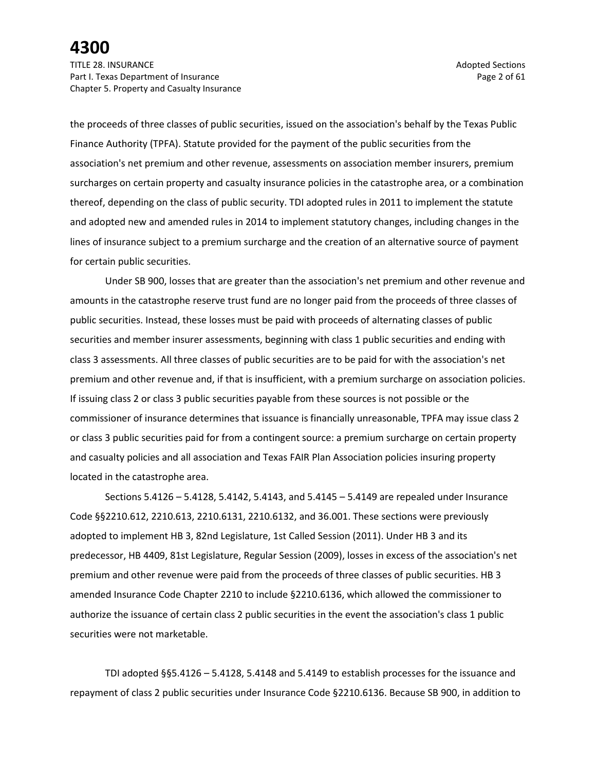TITLE 28. INSURANCE Adopted Sections and the section of the section of the section of the sections of the sections of the sections of the sections of the sections of the sections of the sections of the sections of the sect Part I. Texas Department of Insurance **Page 2 of 61** Page 2 of 61 Chapter 5. Property and Casualty Insurance

the proceeds of three classes of public securities, issued on the association's behalf by the Texas Public Finance Authority (TPFA). Statute provided for the payment of the public securities from the association's net premium and other revenue, assessments on association member insurers, premium surcharges on certain property and casualty insurance policies in the catastrophe area, or a combination thereof, depending on the class of public security. TDI adopted rules in 2011 to implement the statute and adopted new and amended rules in 2014 to implement statutory changes, including changes in the lines of insurance subject to a premium surcharge and the creation of an alternative source of payment for certain public securities.

Under SB 900, losses that are greater than the association's net premium and other revenue and amounts in the catastrophe reserve trust fund are no longer paid from the proceeds of three classes of public securities. Instead, these losses must be paid with proceeds of alternating classes of public securities and member insurer assessments, beginning with class 1 public securities and ending with class 3 assessments. All three classes of public securities are to be paid for with the association's net premium and other revenue and, if that is insufficient, with a premium surcharge on association policies. If issuing class 2 or class 3 public securities payable from these sources is not possible or the commissioner of insurance determines that issuance is financially unreasonable, TPFA may issue class 2 or class 3 public securities paid for from a contingent source: a premium surcharge on certain property and casualty policies and all association and Texas FAIR Plan Association policies insuring property located in the catastrophe area.

Sections 5.4126 – 5.4128, 5.4142, 5.4143, and 5.4145 – 5.4149 are repealed under Insurance Code §§2210.612, 2210.613, 2210.6131, 2210.6132, and 36.001. These sections were previously adopted to implement HB 3, 82nd Legislature, 1st Called Session (2011). Under HB 3 and its predecessor, HB 4409, 81st Legislature, Regular Session (2009), losses in excess of the association's net premium and other revenue were paid from the proceeds of three classes of public securities. HB 3 amended Insurance Code Chapter 2210 to include §2210.6136, which allowed the commissioner to authorize the issuance of certain class 2 public securities in the event the association's class 1 public securities were not marketable.

TDI adopted §§5.4126 – 5.4128, 5.4148 and 5.4149 to establish processes for the issuance and repayment of class 2 public securities under Insurance Code §2210.6136. Because SB 900, in addition to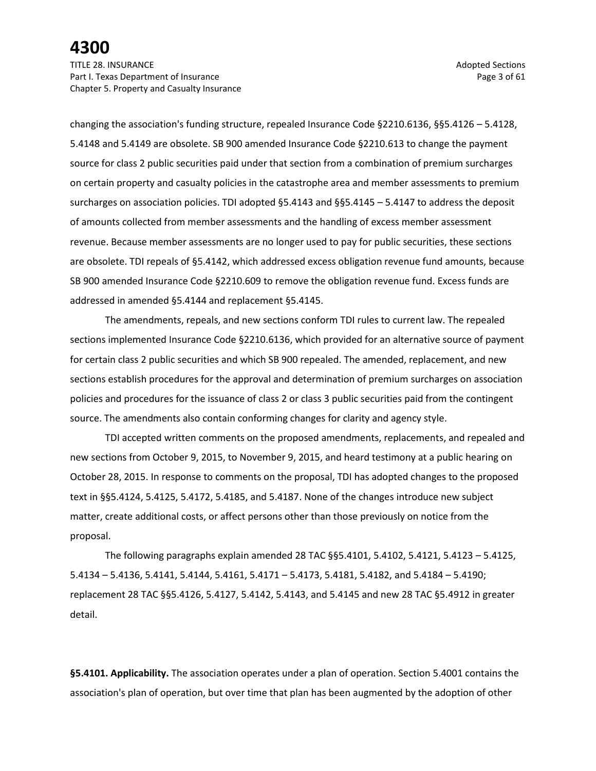TITLE 28. INSURANCE Adopted Sections and the section of the section of the section of the sections of the sections of the sections of the sections of the sections of the sections of the sections of the sections of the sect Part I. Texas Department of Insurance **Page 3 of 61** and 2 of 61 Chapter 5. Property and Casualty Insurance

changing the association's funding structure, repealed Insurance Code §2210.6136, §§5.4126 – 5.4128, 5.4148 and 5.4149 are obsolete. SB 900 amended Insurance Code §2210.613 to change the payment source for class 2 public securities paid under that section from a combination of premium surcharges on certain property and casualty policies in the catastrophe area and member assessments to premium surcharges on association policies. TDI adopted §5.4143 and §§5.4145 – 5.4147 to address the deposit of amounts collected from member assessments and the handling of excess member assessment revenue. Because member assessments are no longer used to pay for public securities, these sections are obsolete. TDI repeals of §5.4142, which addressed excess obligation revenue fund amounts, because SB 900 amended Insurance Code §2210.609 to remove the obligation revenue fund. Excess funds are addressed in amended §5.4144 and replacement §5.4145.

The amendments, repeals, and new sections conform TDI rules to current law. The repealed sections implemented Insurance Code §2210.6136, which provided for an alternative source of payment for certain class 2 public securities and which SB 900 repealed. The amended, replacement, and new sections establish procedures for the approval and determination of premium surcharges on association policies and procedures for the issuance of class 2 or class 3 public securities paid from the contingent source. The amendments also contain conforming changes for clarity and agency style.

TDI accepted written comments on the proposed amendments, replacements, and repealed and new sections from October 9, 2015, to November 9, 2015, and heard testimony at a public hearing on October 28, 2015. In response to comments on the proposal, TDI has adopted changes to the proposed text in §§5.4124, 5.4125, 5.4172, 5.4185, and 5.4187. None of the changes introduce new subject matter, create additional costs, or affect persons other than those previously on notice from the proposal.

The following paragraphs explain amended 28 TAC §§5.4101, 5.4102, 5.4121, 5.4123 – 5.4125, 5.4134 – 5.4136, 5.4141, 5.4144, 5.4161, 5.4171 – 5.4173, 5.4181, 5.4182, and 5.4184 – 5.4190; replacement 28 TAC §§5.4126, 5.4127, 5.4142, 5.4143, and 5.4145 and new 28 TAC §5.4912 in greater detail.

**§5.4101. Applicability.** The association operates under a plan of operation. Section 5.4001 contains the association's plan of operation, but over time that plan has been augmented by the adoption of other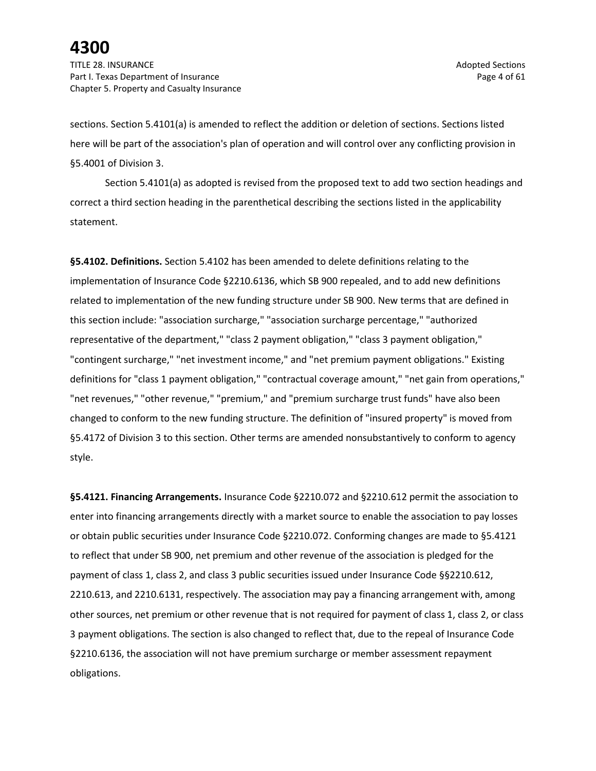TITLE 28. INSURANCE Adopted Sections and the section of the section of the section of the sections of the sections of the sections of the sections of the sections of the sections of the sections of the sections of the sect Part I. Texas Department of Insurance **Page 4 of 61** and the Page 4 of 61 Chapter 5. Property and Casualty Insurance

sections. Section 5.4101(a) is amended to reflect the addition or deletion of sections. Sections listed here will be part of the association's plan of operation and will control over any conflicting provision in §5.4001 of Division 3.

Section 5.4101(a) as adopted is revised from the proposed text to add two section headings and correct a third section heading in the parenthetical describing the sections listed in the applicability statement.

**§5.4102. Definitions.** Section 5.4102 has been amended to delete definitions relating to the implementation of Insurance Code §2210.6136, which SB 900 repealed, and to add new definitions related to implementation of the new funding structure under SB 900. New terms that are defined in this section include: "association surcharge," "association surcharge percentage," "authorized representative of the department," "class 2 payment obligation," "class 3 payment obligation," "contingent surcharge," "net investment income," and "net premium payment obligations." Existing definitions for "class 1 payment obligation," "contractual coverage amount," "net gain from operations," "net revenues," "other revenue," "premium," and "premium surcharge trust funds" have also been changed to conform to the new funding structure. The definition of "insured property" is moved from §5.4172 of Division 3 to this section. Other terms are amended nonsubstantively to conform to agency style.

**§5.4121. Financing Arrangements.** Insurance Code §2210.072 and §2210.612 permit the association to enter into financing arrangements directly with a market source to enable the association to pay losses or obtain public securities under Insurance Code §2210.072. Conforming changes are made to §5.4121 to reflect that under SB 900, net premium and other revenue of the association is pledged for the payment of class 1, class 2, and class 3 public securities issued under Insurance Code §§2210.612, 2210.613, and 2210.6131, respectively. The association may pay a financing arrangement with, among other sources, net premium or other revenue that is not required for payment of class 1, class 2, or class 3 payment obligations. The section is also changed to reflect that, due to the repeal of Insurance Code §2210.6136, the association will not have premium surcharge or member assessment repayment obligations.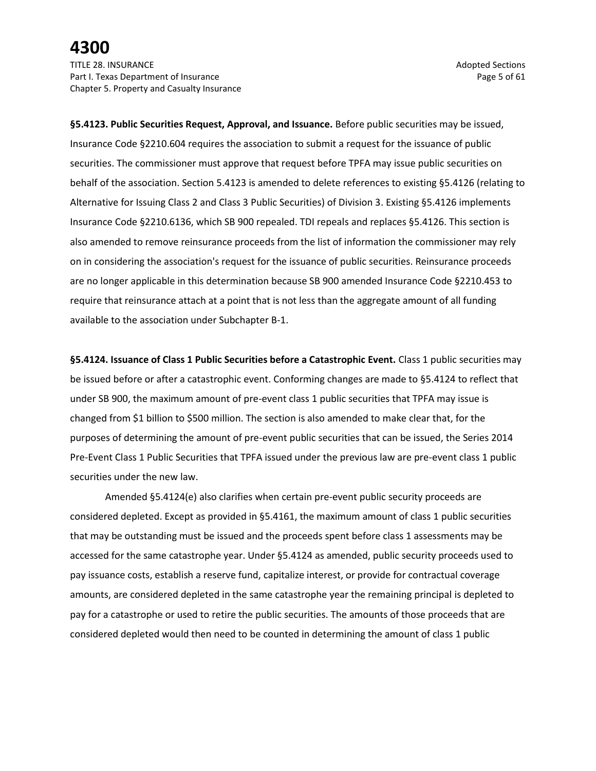**§5.4123. Public Securities Request, Approval, and Issuance.** Before public securities may be issued, Insurance Code §2210.604 requires the association to submit a request for the issuance of public securities. The commissioner must approve that request before TPFA may issue public securities on behalf of the association. Section 5.4123 is amended to delete references to existing §5.4126 (relating to Alternative for Issuing Class 2 and Class 3 Public Securities) of Division 3. Existing §5.4126 implements Insurance Code §2210.6136, which SB 900 repealed. TDI repeals and replaces §5.4126. This section is also amended to remove reinsurance proceeds from the list of information the commissioner may rely on in considering the association's request for the issuance of public securities. Reinsurance proceeds are no longer applicable in this determination because SB 900 amended Insurance Code §2210.453 to require that reinsurance attach at a point that is not less than the aggregate amount of all funding available to the association under Subchapter B-1.

**§5.4124. Issuance of Class 1 Public Securities before a Catastrophic Event.** Class 1 public securities may be issued before or after a catastrophic event. Conforming changes are made to §5.4124 to reflect that under SB 900, the maximum amount of pre-event class 1 public securities that TPFA may issue is changed from \$1 billion to \$500 million. The section is also amended to make clear that, for the purposes of determining the amount of pre-event public securities that can be issued, the Series 2014 Pre-Event Class 1 Public Securities that TPFA issued under the previous law are pre-event class 1 public securities under the new law.

Amended §5.4124(e) also clarifies when certain pre-event public security proceeds are considered depleted. Except as provided in §5.4161, the maximum amount of class 1 public securities that may be outstanding must be issued and the proceeds spent before class 1 assessments may be accessed for the same catastrophe year. Under §5.4124 as amended, public security proceeds used to pay issuance costs, establish a reserve fund, capitalize interest, or provide for contractual coverage amounts, are considered depleted in the same catastrophe year the remaining principal is depleted to pay for a catastrophe or used to retire the public securities. The amounts of those proceeds that are considered depleted would then need to be counted in determining the amount of class 1 public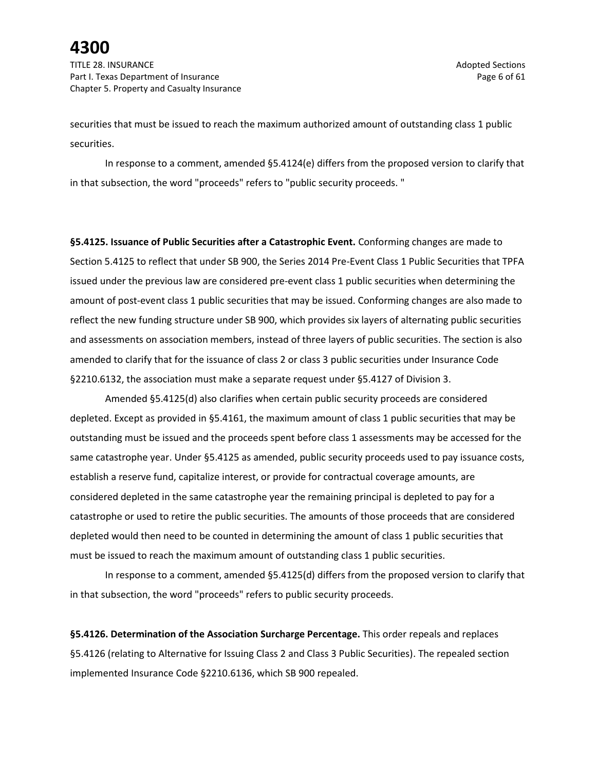TITLE 28. INSURANCE Adopted Sections and the section of the section of the section of the sections of the sections of the sections of the sections of the sections of the sections of the sections of the sections of the sect Part I. Texas Department of Insurance **Page 6 of 61** and the Page 6 of 61 Chapter 5. Property and Casualty Insurance

securities that must be issued to reach the maximum authorized amount of outstanding class 1 public securities.

In response to a comment, amended §5.4124(e) differs from the proposed version to clarify that in that subsection, the word "proceeds" refers to "public security proceeds. "

**§5.4125. Issuance of Public Securities after a Catastrophic Event.** Conforming changes are made to Section 5.4125 to reflect that under SB 900, the Series 2014 Pre-Event Class 1 Public Securities that TPFA issued under the previous law are considered pre-event class 1 public securities when determining the amount of post-event class 1 public securities that may be issued. Conforming changes are also made to reflect the new funding structure under SB 900, which provides six layers of alternating public securities and assessments on association members, instead of three layers of public securities. The section is also amended to clarify that for the issuance of class 2 or class 3 public securities under Insurance Code §2210.6132, the association must make a separate request under §5.4127 of Division 3.

Amended §5.4125(d) also clarifies when certain public security proceeds are considered depleted. Except as provided in §5.4161, the maximum amount of class 1 public securities that may be outstanding must be issued and the proceeds spent before class 1 assessments may be accessed for the same catastrophe year. Under §5.4125 as amended, public security proceeds used to pay issuance costs, establish a reserve fund, capitalize interest, or provide for contractual coverage amounts, are considered depleted in the same catastrophe year the remaining principal is depleted to pay for a catastrophe or used to retire the public securities. The amounts of those proceeds that are considered depleted would then need to be counted in determining the amount of class 1 public securities that must be issued to reach the maximum amount of outstanding class 1 public securities.

In response to a comment, amended §5.4125(d) differs from the proposed version to clarify that in that subsection, the word "proceeds" refers to public security proceeds.

**§5.4126. Determination of the Association Surcharge Percentage.** This order repeals and replaces §5.4126 (relating to Alternative for Issuing Class 2 and Class 3 Public Securities). The repealed section implemented Insurance Code §2210.6136, which SB 900 repealed.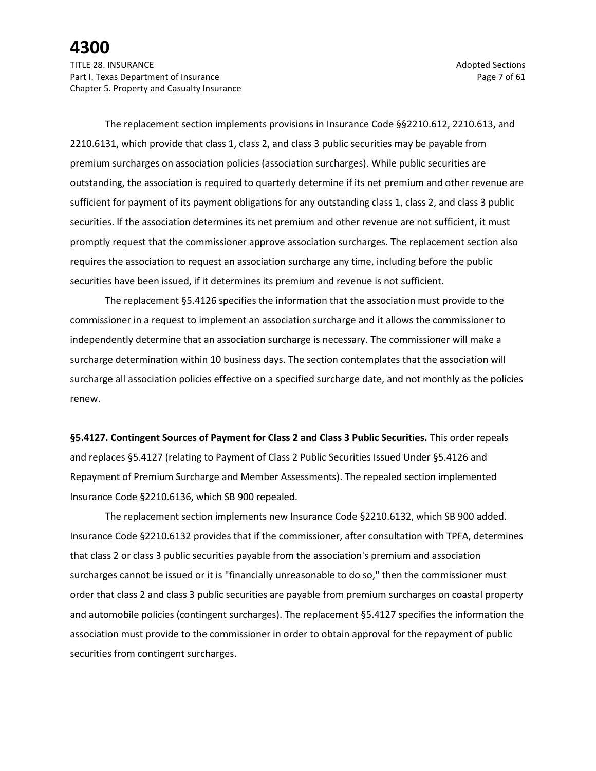The replacement section implements provisions in Insurance Code §§2210.612, 2210.613, and 2210.6131, which provide that class 1, class 2, and class 3 public securities may be payable from premium surcharges on association policies (association surcharges). While public securities are outstanding, the association is required to quarterly determine if its net premium and other revenue are sufficient for payment of its payment obligations for any outstanding class 1, class 2, and class 3 public securities. If the association determines its net premium and other revenue are not sufficient, it must promptly request that the commissioner approve association surcharges. The replacement section also requires the association to request an association surcharge any time, including before the public securities have been issued, if it determines its premium and revenue is not sufficient.

The replacement §5.4126 specifies the information that the association must provide to the commissioner in a request to implement an association surcharge and it allows the commissioner to independently determine that an association surcharge is necessary. The commissioner will make a surcharge determination within 10 business days. The section contemplates that the association will surcharge all association policies effective on a specified surcharge date, and not monthly as the policies renew.

**§5.4127. Contingent Sources of Payment for Class 2 and Class 3 Public Securities.** This order repeals and replaces §5.4127 (relating to Payment of Class 2 Public Securities Issued Under §5.4126 and Repayment of Premium Surcharge and Member Assessments). The repealed section implemented Insurance Code §2210.6136, which SB 900 repealed.

The replacement section implements new Insurance Code §2210.6132, which SB 900 added. Insurance Code §2210.6132 provides that if the commissioner, after consultation with TPFA, determines that class 2 or class 3 public securities payable from the association's premium and association surcharges cannot be issued or it is "financially unreasonable to do so," then the commissioner must order that class 2 and class 3 public securities are payable from premium surcharges on coastal property and automobile policies (contingent surcharges). The replacement §5.4127 specifies the information the association must provide to the commissioner in order to obtain approval for the repayment of public securities from contingent surcharges.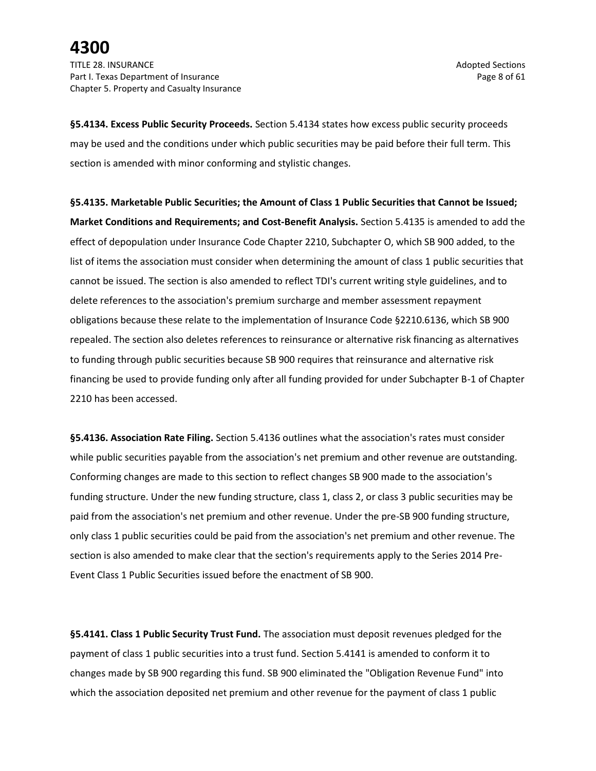**§5.4134. Excess Public Security Proceeds.** Section 5.4134 states how excess public security proceeds may be used and the conditions under which public securities may be paid before their full term. This section is amended with minor conforming and stylistic changes.

**§5.4135. Marketable Public Securities; the Amount of Class 1 Public Securities that Cannot be Issued; Market Conditions and Requirements; and Cost-Benefit Analysis.** Section 5.4135 is amended to add the effect of depopulation under Insurance Code Chapter 2210, Subchapter O, which SB 900 added, to the list of items the association must consider when determining the amount of class 1 public securities that cannot be issued. The section is also amended to reflect TDI's current writing style guidelines, and to delete references to the association's premium surcharge and member assessment repayment obligations because these relate to the implementation of Insurance Code §2210.6136, which SB 900 repealed. The section also deletes references to reinsurance or alternative risk financing as alternatives to funding through public securities because SB 900 requires that reinsurance and alternative risk financing be used to provide funding only after all funding provided for under Subchapter B-1 of Chapter 2210 has been accessed.

**§5.4136. Association Rate Filing.** Section 5.4136 outlines what the association's rates must consider while public securities payable from the association's net premium and other revenue are outstanding. Conforming changes are made to this section to reflect changes SB 900 made to the association's funding structure. Under the new funding structure, class 1, class 2, or class 3 public securities may be paid from the association's net premium and other revenue. Under the pre-SB 900 funding structure, only class 1 public securities could be paid from the association's net premium and other revenue. The section is also amended to make clear that the section's requirements apply to the Series 2014 Pre-Event Class 1 Public Securities issued before the enactment of SB 900.

**§5.4141. Class 1 Public Security Trust Fund.** The association must deposit revenues pledged for the payment of class 1 public securities into a trust fund. Section 5.4141 is amended to conform it to changes made by SB 900 regarding this fund. SB 900 eliminated the "Obligation Revenue Fund" into which the association deposited net premium and other revenue for the payment of class 1 public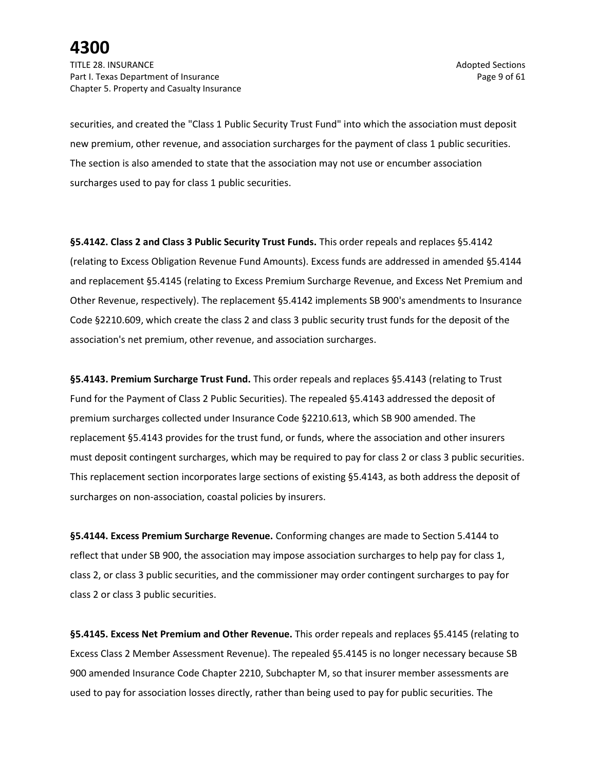TITLE 28. INSURANCE Adopted Sections and the section of the section of the section of the sections of the sections of the sections of the sections of the sections of the sections of the sections of the sections of the sect Part I. Texas Department of Insurance **Page 9** of 61 Chapter 5. Property and Casualty Insurance

securities, and created the "Class 1 Public Security Trust Fund" into which the association must deposit new premium, other revenue, and association surcharges for the payment of class 1 public securities. The section is also amended to state that the association may not use or encumber association surcharges used to pay for class 1 public securities.

**§5.4142. Class 2 and Class 3 Public Security Trust Funds.** This order repeals and replaces §5.4142 (relating to Excess Obligation Revenue Fund Amounts). Excess funds are addressed in amended §5.4144 and replacement §5.4145 (relating to Excess Premium Surcharge Revenue, and Excess Net Premium and Other Revenue, respectively). The replacement §5.4142 implements SB 900's amendments to Insurance Code §2210.609, which create the class 2 and class 3 public security trust funds for the deposit of the association's net premium, other revenue, and association surcharges.

**§5.4143. Premium Surcharge Trust Fund.** This order repeals and replaces §5.4143 (relating to Trust Fund for the Payment of Class 2 Public Securities). The repealed §5.4143 addressed the deposit of premium surcharges collected under Insurance Code §2210.613, which SB 900 amended. The replacement §5.4143 provides for the trust fund, or funds, where the association and other insurers must deposit contingent surcharges, which may be required to pay for class 2 or class 3 public securities. This replacement section incorporates large sections of existing §5.4143, as both address the deposit of surcharges on non-association, coastal policies by insurers.

**§5.4144. Excess Premium Surcharge Revenue.** Conforming changes are made to Section 5.4144 to reflect that under SB 900, the association may impose association surcharges to help pay for class 1, class 2, or class 3 public securities, and the commissioner may order contingent surcharges to pay for class 2 or class 3 public securities.

**§5.4145. Excess Net Premium and Other Revenue.** This order repeals and replaces §5.4145 (relating to Excess Class 2 Member Assessment Revenue). The repealed §5.4145 is no longer necessary because SB 900 amended Insurance Code Chapter 2210, Subchapter M, so that insurer member assessments are used to pay for association losses directly, rather than being used to pay for public securities. The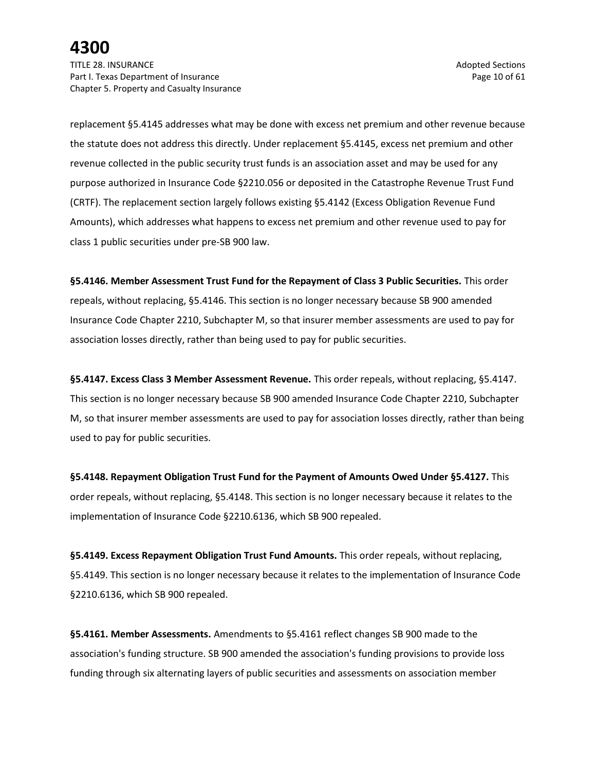TITLE 28. INSURANCE Adopted Sections and the section of the section of the section of the sections of the sections of the sections of the sections of the sections of the sections of the sections of the sections of the sect Part I. Texas Department of Insurance **Page 10** of 61 Chapter 5. Property and Casualty Insurance

replacement §5.4145 addresses what may be done with excess net premium and other revenue because the statute does not address this directly. Under replacement §5.4145, excess net premium and other revenue collected in the public security trust funds is an association asset and may be used for any purpose authorized in Insurance Code §2210.056 or deposited in the Catastrophe Revenue Trust Fund (CRTF). The replacement section largely follows existing §5.4142 (Excess Obligation Revenue Fund Amounts), which addresses what happens to excess net premium and other revenue used to pay for class 1 public securities under pre-SB 900 law.

**§5.4146. Member Assessment Trust Fund for the Repayment of Class 3 Public Securities.** This order repeals, without replacing, §5.4146. This section is no longer necessary because SB 900 amended Insurance Code Chapter 2210, Subchapter M, so that insurer member assessments are used to pay for association losses directly, rather than being used to pay for public securities.

**§5.4147. Excess Class 3 Member Assessment Revenue.** This order repeals, without replacing, §5.4147. This section is no longer necessary because SB 900 amended Insurance Code Chapter 2210, Subchapter M, so that insurer member assessments are used to pay for association losses directly, rather than being used to pay for public securities.

**§5.4148. Repayment Obligation Trust Fund for the Payment of Amounts Owed Under §5.4127.** This order repeals, without replacing, §5.4148. This section is no longer necessary because it relates to the implementation of Insurance Code §2210.6136, which SB 900 repealed.

**§5.4149. Excess Repayment Obligation Trust Fund Amounts.** This order repeals, without replacing, §5.4149. This section is no longer necessary because it relates to the implementation of Insurance Code §2210.6136, which SB 900 repealed.

**§5.4161. Member Assessments.** Amendments to §5.4161 reflect changes SB 900 made to the association's funding structure. SB 900 amended the association's funding provisions to provide loss funding through six alternating layers of public securities and assessments on association member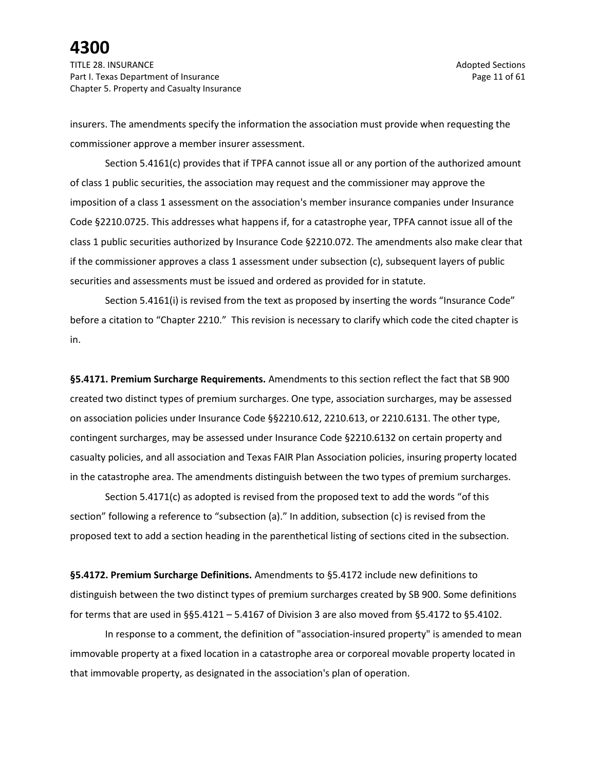TITLE 28. INSURANCE Adopted Sections and the section of the section of the section of the sections of the sections of the sections of the sections of the sections of the sections of the sections of the sections of the sect Part I. Texas Department of Insurance **Page 11** of 61 Chapter 5. Property and Casualty Insurance

insurers. The amendments specify the information the association must provide when requesting the commissioner approve a member insurer assessment.

Section 5.4161(c) provides that if TPFA cannot issue all or any portion of the authorized amount of class 1 public securities, the association may request and the commissioner may approve the imposition of a class 1 assessment on the association's member insurance companies under Insurance Code §2210.0725. This addresses what happens if, for a catastrophe year, TPFA cannot issue all of the class 1 public securities authorized by Insurance Code §2210.072. The amendments also make clear that if the commissioner approves a class 1 assessment under subsection (c), subsequent layers of public securities and assessments must be issued and ordered as provided for in statute.

Section 5.4161(i) is revised from the text as proposed by inserting the words "Insurance Code" before a citation to "Chapter 2210." This revision is necessary to clarify which code the cited chapter is in.

**§5.4171. Premium Surcharge Requirements.** Amendments to this section reflect the fact that SB 900 created two distinct types of premium surcharges. One type, association surcharges, may be assessed on association policies under Insurance Code §§2210.612, 2210.613, or 2210.6131. The other type, contingent surcharges, may be assessed under Insurance Code §2210.6132 on certain property and casualty policies, and all association and Texas FAIR Plan Association policies, insuring property located in the catastrophe area. The amendments distinguish between the two types of premium surcharges.

Section 5.4171(c) as adopted is revised from the proposed text to add the words "of this section" following a reference to "subsection (a)." In addition, subsection (c) is revised from the proposed text to add a section heading in the parenthetical listing of sections cited in the subsection.

**§5.4172. Premium Surcharge Definitions.** Amendments to §5.4172 include new definitions to distinguish between the two distinct types of premium surcharges created by SB 900. Some definitions for terms that are used in §§5.4121 – 5.4167 of Division 3 are also moved from §5.4172 to §5.4102.

In response to a comment, the definition of "association-insured property" is amended to mean immovable property at a fixed location in a catastrophe area or corporeal movable property located in that immovable property, as designated in the association's plan of operation.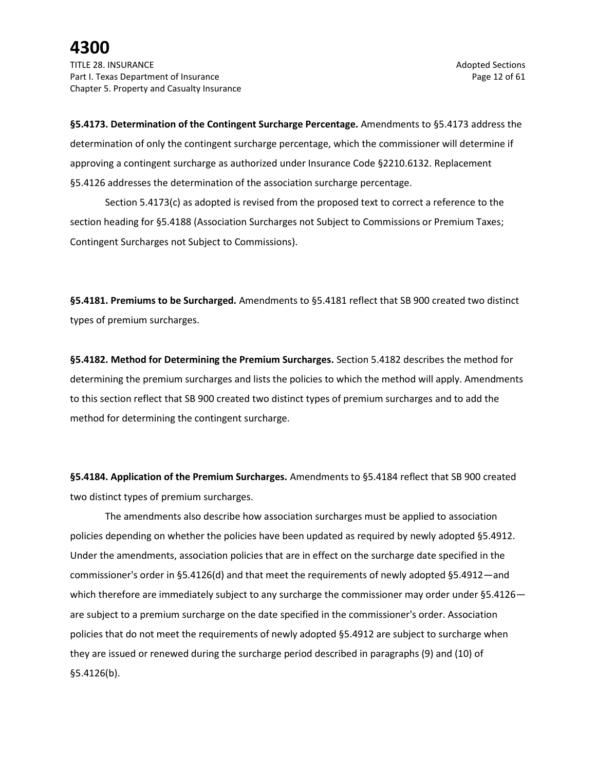**§5.4173. Determination of the Contingent Surcharge Percentage.** Amendments to §5.4173 address the determination of only the contingent surcharge percentage, which the commissioner will determine if approving a contingent surcharge as authorized under Insurance Code §2210.6132. Replacement §5.4126 addresses the determination of the association surcharge percentage.

Section 5.4173(c) as adopted is revised from the proposed text to correct a reference to the section heading for §5.4188 (Association Surcharges not Subject to Commissions or Premium Taxes; Contingent Surcharges not Subject to Commissions).

**§5.4181. Premiums to be Surcharged.** Amendments to §5.4181 reflect that SB 900 created two distinct types of premium surcharges.

**§5.4182. Method for Determining the Premium Surcharges.** Section 5.4182 describes the method for determining the premium surcharges and lists the policies to which the method will apply. Amendments to this section reflect that SB 900 created two distinct types of premium surcharges and to add the method for determining the contingent surcharge.

**§5.4184. Application of the Premium Surcharges.** Amendments to §5.4184 reflect that SB 900 created two distinct types of premium surcharges.

The amendments also describe how association surcharges must be applied to association policies depending on whether the policies have been updated as required by newly adopted §5.4912. Under the amendments, association policies that are in effect on the surcharge date specified in the commissioner's order in §5.4126(d) and that meet the requirements of newly adopted §5.4912—and which therefore are immediately subject to any surcharge the commissioner may order under §5.4126 are subject to a premium surcharge on the date specified in the commissioner's order. Association policies that do not meet the requirements of newly adopted §5.4912 are subject to surcharge when they are issued or renewed during the surcharge period described in paragraphs (9) and (10) of §5.4126(b).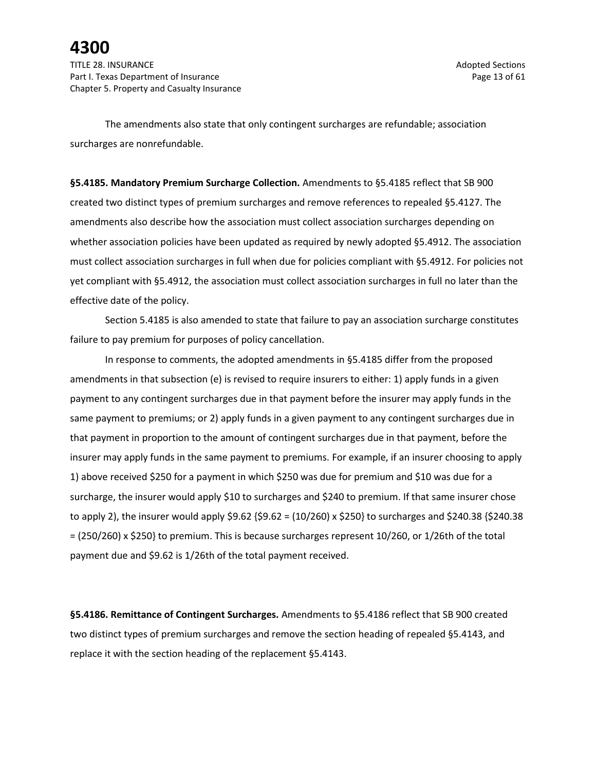The amendments also state that only contingent surcharges are refundable; association surcharges are nonrefundable.

**§5.4185. Mandatory Premium Surcharge Collection.** Amendments to §5.4185 reflect that SB 900 created two distinct types of premium surcharges and remove references to repealed §5.4127. The amendments also describe how the association must collect association surcharges depending on whether association policies have been updated as required by newly adopted §5.4912. The association must collect association surcharges in full when due for policies compliant with §5.4912. For policies not yet compliant with §5.4912, the association must collect association surcharges in full no later than the effective date of the policy.

Section 5.4185 is also amended to state that failure to pay an association surcharge constitutes failure to pay premium for purposes of policy cancellation.

In response to comments, the adopted amendments in §5.4185 differ from the proposed amendments in that subsection (e) is revised to require insurers to either: 1) apply funds in a given payment to any contingent surcharges due in that payment before the insurer may apply funds in the same payment to premiums; or 2) apply funds in a given payment to any contingent surcharges due in that payment in proportion to the amount of contingent surcharges due in that payment, before the insurer may apply funds in the same payment to premiums. For example, if an insurer choosing to apply 1) above received \$250 for a payment in which \$250 was due for premium and \$10 was due for a surcharge, the insurer would apply \$10 to surcharges and \$240 to premium. If that same insurer chose to apply 2), the insurer would apply \$9.62 {\$9.62 = (10/260) x \$250} to surcharges and \$240.38 {\$240.38 = (250/260) x \$250} to premium. This is because surcharges represent 10/260, or 1/26th of the total payment due and \$9.62 is 1/26th of the total payment received.

**§5.4186. Remittance of Contingent Surcharges.** Amendments to §5.4186 reflect that SB 900 created two distinct types of premium surcharges and remove the section heading of repealed §5.4143, and replace it with the section heading of the replacement §5.4143.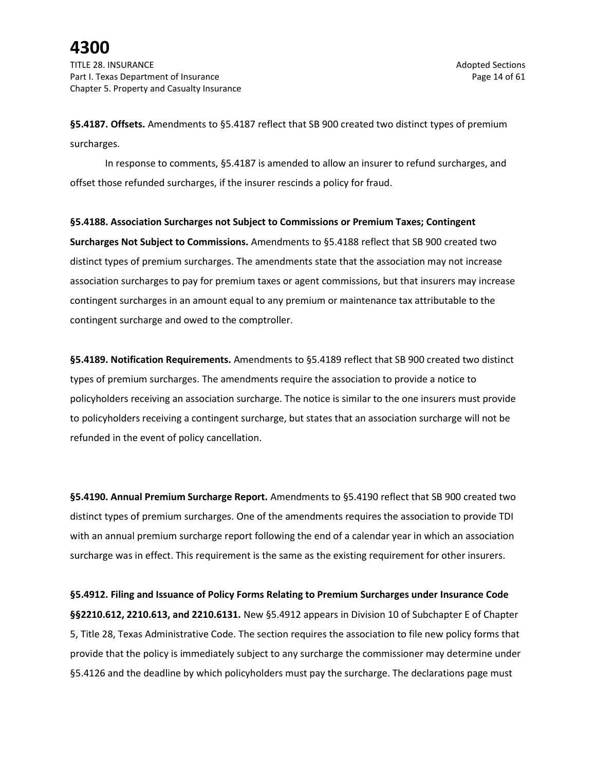**§5.4187. Offsets.** Amendments to §5.4187 reflect that SB 900 created two distinct types of premium surcharges.

In response to comments, §5.4187 is amended to allow an insurer to refund surcharges, and offset those refunded surcharges, if the insurer rescinds a policy for fraud.

**§5.4188. Association Surcharges not Subject to Commissions or Premium Taxes; Contingent Surcharges Not Subject to Commissions.** Amendments to §5.4188 reflect that SB 900 created two distinct types of premium surcharges. The amendments state that the association may not increase association surcharges to pay for premium taxes or agent commissions, but that insurers may increase contingent surcharges in an amount equal to any premium or maintenance tax attributable to the contingent surcharge and owed to the comptroller.

**§5.4189. Notification Requirements.** Amendments to §5.4189 reflect that SB 900 created two distinct types of premium surcharges. The amendments require the association to provide a notice to policyholders receiving an association surcharge. The notice is similar to the one insurers must provide to policyholders receiving a contingent surcharge, but states that an association surcharge will not be refunded in the event of policy cancellation.

**§5.4190. Annual Premium Surcharge Report.** Amendments to §5.4190 reflect that SB 900 created two distinct types of premium surcharges. One of the amendments requires the association to provide TDI with an annual premium surcharge report following the end of a calendar year in which an association surcharge was in effect. This requirement is the same as the existing requirement for other insurers.

**§5.4912. Filing and Issuance of Policy Forms Relating to Premium Surcharges under Insurance Code §§2210.612, 2210.613, and 2210.6131.** New §5.4912 appears in Division 10 of Subchapter E of Chapter 5, Title 28, Texas Administrative Code. The section requires the association to file new policy forms that provide that the policy is immediately subject to any surcharge the commissioner may determine under §5.4126 and the deadline by which policyholders must pay the surcharge. The declarations page must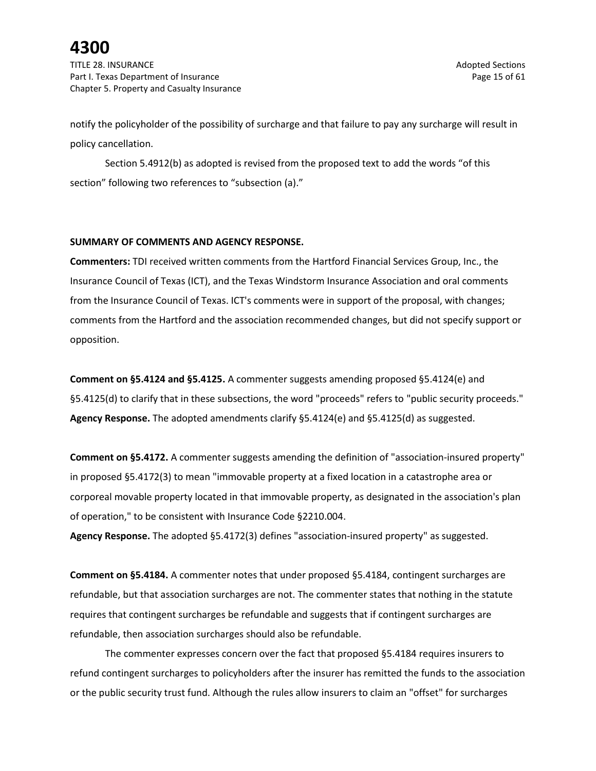TITLE 28. INSURANCE Adopted Sections and the section of the section of the section of the sections of the sections of the sections of the sections of the sections of the sections of the sections of the sections of the sect Part I. Texas Department of Insurance **Page 15** of 61 Chapter 5. Property and Casualty Insurance

notify the policyholder of the possibility of surcharge and that failure to pay any surcharge will result in policy cancellation.

Section 5.4912(b) as adopted is revised from the proposed text to add the words "of this section" following two references to "subsection (a)."

### **SUMMARY OF COMMENTS AND AGENCY RESPONSE.**

**Commenters:** TDI received written comments from the Hartford Financial Services Group, Inc., the Insurance Council of Texas (ICT), and the Texas Windstorm Insurance Association and oral comments from the Insurance Council of Texas. ICT's comments were in support of the proposal, with changes; comments from the Hartford and the association recommended changes, but did not specify support or opposition.

**Comment on §5.4124 and §5.4125.** A commenter suggests amending proposed §5.4124(e) and §5.4125(d) to clarify that in these subsections, the word "proceeds" refers to "public security proceeds." **Agency Response.** The adopted amendments clarify §5.4124(e) and §5.4125(d) as suggested.

**Comment on §5.4172.** A commenter suggests amending the definition of "association-insured property" in proposed §5.4172(3) to mean "immovable property at a fixed location in a catastrophe area or corporeal movable property located in that immovable property, as designated in the association's plan of operation," to be consistent with Insurance Code §2210.004.

**Agency Response.** The adopted §5.4172(3) defines "association-insured property" as suggested.

**Comment on §5.4184.** A commenter notes that under proposed §5.4184, contingent surcharges are refundable, but that association surcharges are not. The commenter states that nothing in the statute requires that contingent surcharges be refundable and suggests that if contingent surcharges are refundable, then association surcharges should also be refundable.

The commenter expresses concern over the fact that proposed §5.4184 requires insurers to refund contingent surcharges to policyholders after the insurer has remitted the funds to the association or the public security trust fund. Although the rules allow insurers to claim an "offset" for surcharges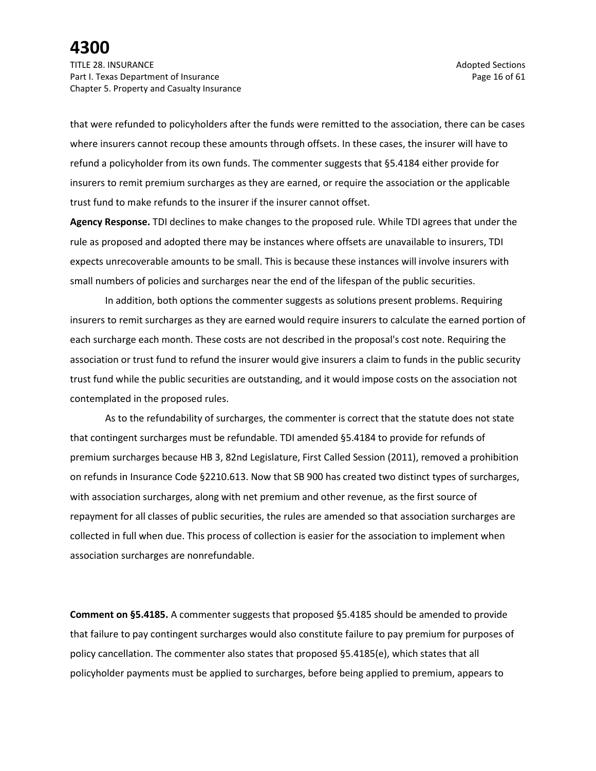TITLE 28. INSURANCE Adopted Sections and the section of the section of the section of the sections of the sections of the sections of the sections of the sections of the sections of the sections of the sections of the sect Part I. Texas Department of Insurance **Page 16** of 61 Chapter 5. Property and Casualty Insurance

that were refunded to policyholders after the funds were remitted to the association, there can be cases where insurers cannot recoup these amounts through offsets. In these cases, the insurer will have to refund a policyholder from its own funds. The commenter suggests that §5.4184 either provide for insurers to remit premium surcharges as they are earned, or require the association or the applicable trust fund to make refunds to the insurer if the insurer cannot offset.

**Agency Response.** TDI declines to make changes to the proposed rule. While TDI agrees that under the rule as proposed and adopted there may be instances where offsets are unavailable to insurers, TDI expects unrecoverable amounts to be small. This is because these instances will involve insurers with small numbers of policies and surcharges near the end of the lifespan of the public securities.

In addition, both options the commenter suggests as solutions present problems. Requiring insurers to remit surcharges as they are earned would require insurers to calculate the earned portion of each surcharge each month. These costs are not described in the proposal's cost note. Requiring the association or trust fund to refund the insurer would give insurers a claim to funds in the public security trust fund while the public securities are outstanding, and it would impose costs on the association not contemplated in the proposed rules.

As to the refundability of surcharges, the commenter is correct that the statute does not state that contingent surcharges must be refundable. TDI amended §5.4184 to provide for refunds of premium surcharges because HB 3, 82nd Legislature, First Called Session (2011), removed a prohibition on refunds in Insurance Code §2210.613. Now that SB 900 has created two distinct types of surcharges, with association surcharges, along with net premium and other revenue, as the first source of repayment for all classes of public securities, the rules are amended so that association surcharges are collected in full when due. This process of collection is easier for the association to implement when association surcharges are nonrefundable.

**Comment on §5.4185.** A commenter suggests that proposed §5.4185 should be amended to provide that failure to pay contingent surcharges would also constitute failure to pay premium for purposes of policy cancellation. The commenter also states that proposed §5.4185(e), which states that all policyholder payments must be applied to surcharges, before being applied to premium, appears to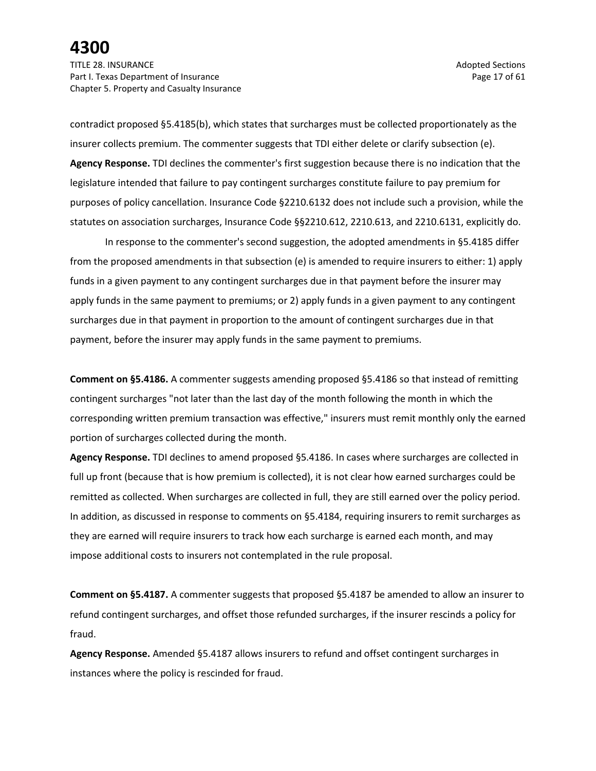TITLE 28. INSURANCE Adopted Sections and the section of the section of the section of the sections of the sections of the sections of the sections of the sections of the sections of the sections of the sections of the sect Part I. Texas Department of Insurance **Page 17** of 61 Chapter 5. Property and Casualty Insurance

contradict proposed §5.4185(b), which states that surcharges must be collected proportionately as the insurer collects premium. The commenter suggests that TDI either delete or clarify subsection (e). **Agency Response.** TDI declines the commenter's first suggestion because there is no indication that the legislature intended that failure to pay contingent surcharges constitute failure to pay premium for purposes of policy cancellation. Insurance Code §2210.6132 does not include such a provision, while the statutes on association surcharges, Insurance Code §§2210.612, 2210.613, and 2210.6131, explicitly do.

In response to the commenter's second suggestion, the adopted amendments in §5.4185 differ from the proposed amendments in that subsection (e) is amended to require insurers to either: 1) apply funds in a given payment to any contingent surcharges due in that payment before the insurer may apply funds in the same payment to premiums; or 2) apply funds in a given payment to any contingent surcharges due in that payment in proportion to the amount of contingent surcharges due in that payment, before the insurer may apply funds in the same payment to premiums.

**Comment on §5.4186.** A commenter suggests amending proposed §5.4186 so that instead of remitting contingent surcharges "not later than the last day of the month following the month in which the corresponding written premium transaction was effective," insurers must remit monthly only the earned portion of surcharges collected during the month.

**Agency Response.** TDI declines to amend proposed §5.4186. In cases where surcharges are collected in full up front (because that is how premium is collected), it is not clear how earned surcharges could be remitted as collected. When surcharges are collected in full, they are still earned over the policy period. In addition, as discussed in response to comments on §5.4184, requiring insurers to remit surcharges as they are earned will require insurers to track how each surcharge is earned each month, and may impose additional costs to insurers not contemplated in the rule proposal.

**Comment on §5.4187.** A commenter suggests that proposed §5.4187 be amended to allow an insurer to refund contingent surcharges, and offset those refunded surcharges, if the insurer rescinds a policy for fraud.

**Agency Response.** Amended §5.4187 allows insurers to refund and offset contingent surcharges in instances where the policy is rescinded for fraud.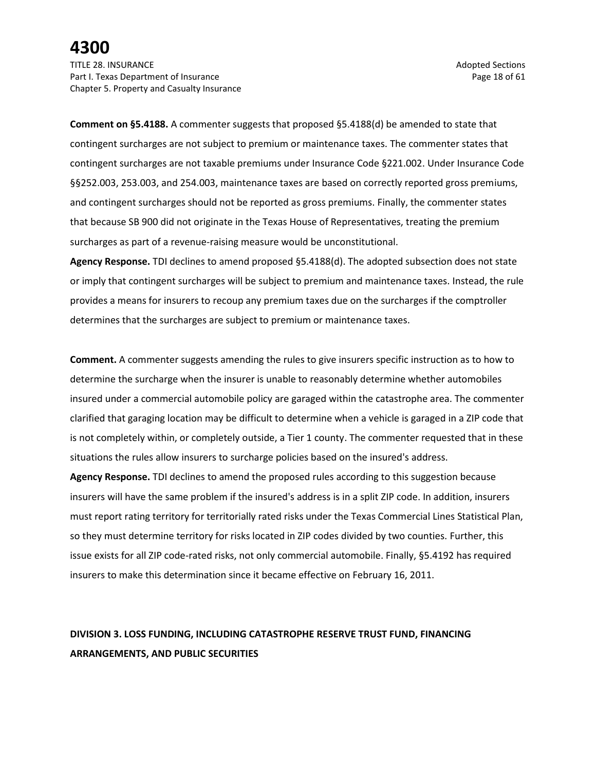TITLE 28. INSURANCE Adopted Sections and the section of the section of the section of the sections of the sections of the sections of the sections of the sections of the sections of the sections of the sections of the sect Part I. Texas Department of Insurance **Page 18 of 61** Page 18 of 61 Chapter 5. Property and Casualty Insurance

**Comment on §5.4188.** A commenter suggests that proposed §5.4188(d) be amended to state that contingent surcharges are not subject to premium or maintenance taxes. The commenter states that contingent surcharges are not taxable premiums under Insurance Code §221.002. Under Insurance Code §§252.003, 253.003, and 254.003, maintenance taxes are based on correctly reported gross premiums, and contingent surcharges should not be reported as gross premiums. Finally, the commenter states that because SB 900 did not originate in the Texas House of Representatives, treating the premium surcharges as part of a revenue-raising measure would be unconstitutional.

**Agency Response.** TDI declines to amend proposed §5.4188(d). The adopted subsection does not state or imply that contingent surcharges will be subject to premium and maintenance taxes. Instead, the rule provides a means for insurers to recoup any premium taxes due on the surcharges if the comptroller determines that the surcharges are subject to premium or maintenance taxes.

**Comment.** A commenter suggests amending the rules to give insurers specific instruction as to how to determine the surcharge when the insurer is unable to reasonably determine whether automobiles insured under a commercial automobile policy are garaged within the catastrophe area. The commenter clarified that garaging location may be difficult to determine when a vehicle is garaged in a ZIP code that is not completely within, or completely outside, a Tier 1 county. The commenter requested that in these situations the rules allow insurers to surcharge policies based on the insured's address.

**Agency Response.** TDI declines to amend the proposed rules according to this suggestion because insurers will have the same problem if the insured's address is in a split ZIP code. In addition, insurers must report rating territory for territorially rated risks under the Texas Commercial Lines Statistical Plan, so they must determine territory for risks located in ZIP codes divided by two counties. Further, this issue exists for all ZIP code-rated risks, not only commercial automobile. Finally, §5.4192 has required insurers to make this determination since it became effective on February 16, 2011.

### **DIVISION 3. LOSS FUNDING, INCLUDING CATASTROPHE RESERVE TRUST FUND, FINANCING ARRANGEMENTS, AND PUBLIC SECURITIES**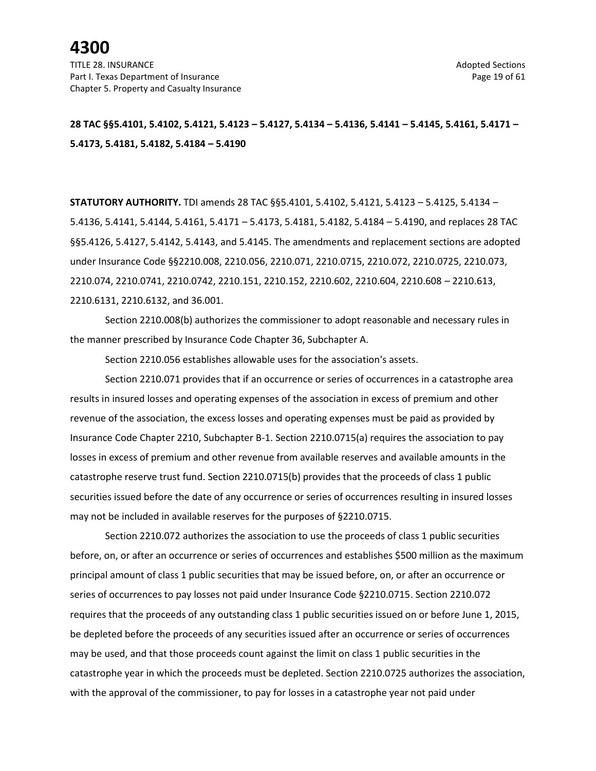### **28 TAC §§5.4101, 5.4102, 5.4121, 5.4123 – 5.4127, 5.4134 – 5.4136, 5.4141 – 5.4145, 5.4161, 5.4171 – 5.4173, 5.4181, 5.4182, 5.4184 – 5.4190**

**STATUTORY AUTHORITY.** TDI amends 28 TAC §§5.4101, 5.4102, 5.4121, 5.4123 – 5.4125, 5.4134 – 5.4136, 5.4141, 5.4144, 5.4161, 5.4171 – 5.4173, 5.4181, 5.4182, 5.4184 – 5.4190, and replaces 28 TAC §§5.4126, 5.4127, 5.4142, 5.4143, and 5.4145. The amendments and replacement sections are adopted under Insurance Code §§2210.008, 2210.056, 2210.071, 2210.0715, 2210.072, 2210.0725, 2210.073, 2210.074, 2210.0741, 2210.0742, 2210.151, 2210.152, 2210.602, 2210.604, 2210.608 – 2210.613, 2210.6131, 2210.6132, and 36.001.

Section 2210.008(b) authorizes the commissioner to adopt reasonable and necessary rules in the manner prescribed by Insurance Code Chapter 36, Subchapter A.

Section 2210.056 establishes allowable uses for the association's assets.

Section 2210.071 provides that if an occurrence or series of occurrences in a catastrophe area results in insured losses and operating expenses of the association in excess of premium and other revenue of the association, the excess losses and operating expenses must be paid as provided by Insurance Code Chapter 2210, Subchapter B-1. Section 2210.0715(a) requires the association to pay losses in excess of premium and other revenue from available reserves and available amounts in the catastrophe reserve trust fund. Section 2210.0715(b) provides that the proceeds of class 1 public securities issued before the date of any occurrence or series of occurrences resulting in insured losses may not be included in available reserves for the purposes of §2210.0715.

Section 2210.072 authorizes the association to use the proceeds of class 1 public securities before, on, or after an occurrence or series of occurrences and establishes \$500 million as the maximum principal amount of class 1 public securities that may be issued before, on, or after an occurrence or series of occurrences to pay losses not paid under Insurance Code §2210.0715. Section 2210.072 requires that the proceeds of any outstanding class 1 public securities issued on or before June 1, 2015, be depleted before the proceeds of any securities issued after an occurrence or series of occurrences may be used, and that those proceeds count against the limit on class 1 public securities in the catastrophe year in which the proceeds must be depleted. Section 2210.0725 authorizes the association, with the approval of the commissioner, to pay for losses in a catastrophe year not paid under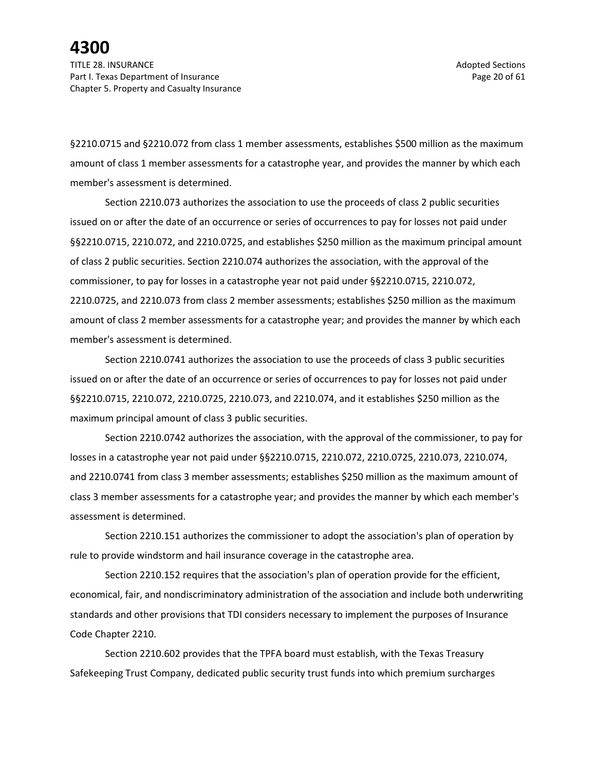TITLE 28. INSURANCE Adopted Sections and the section of the section of the section of the sections of the sections of the sections of the sections of the sections of the sections of the sections of the sections of the sect Part I. Texas Department of Insurance **Page 20 of 61** and the Page 20 of 61 Chapter 5. Property and Casualty Insurance

§2210.0715 and §2210.072 from class 1 member assessments, establishes \$500 million as the maximum amount of class 1 member assessments for a catastrophe year, and provides the manner by which each member's assessment is determined.

Section 2210.073 authorizes the association to use the proceeds of class 2 public securities issued on or after the date of an occurrence or series of occurrences to pay for losses not paid under §§2210.0715, 2210.072, and 2210.0725, and establishes \$250 million as the maximum principal amount of class 2 public securities. Section 2210.074 authorizes the association, with the approval of the commissioner, to pay for losses in a catastrophe year not paid under §§2210.0715, 2210.072, 2210.0725, and 2210.073 from class 2 member assessments; establishes \$250 million as the maximum amount of class 2 member assessments for a catastrophe year; and provides the manner by which each member's assessment is determined.

Section 2210.0741 authorizes the association to use the proceeds of class 3 public securities issued on or after the date of an occurrence or series of occurrences to pay for losses not paid under §§2210.0715, 2210.072, 2210.0725, 2210.073, and 2210.074, and it establishes \$250 million as the maximum principal amount of class 3 public securities.

Section 2210.0742 authorizes the association, with the approval of the commissioner, to pay for losses in a catastrophe year not paid under §§2210.0715, 2210.072, 2210.0725, 2210.073, 2210.074, and 2210.0741 from class 3 member assessments; establishes \$250 million as the maximum amount of class 3 member assessments for a catastrophe year; and provides the manner by which each member's assessment is determined.

Section 2210.151 authorizes the commissioner to adopt the association's plan of operation by rule to provide windstorm and hail insurance coverage in the catastrophe area.

Section 2210.152 requires that the association's plan of operation provide for the efficient, economical, fair, and nondiscriminatory administration of the association and include both underwriting standards and other provisions that TDI considers necessary to implement the purposes of Insurance Code Chapter 2210.

Section 2210.602 provides that the TPFA board must establish, with the Texas Treasury Safekeeping Trust Company, dedicated public security trust funds into which premium surcharges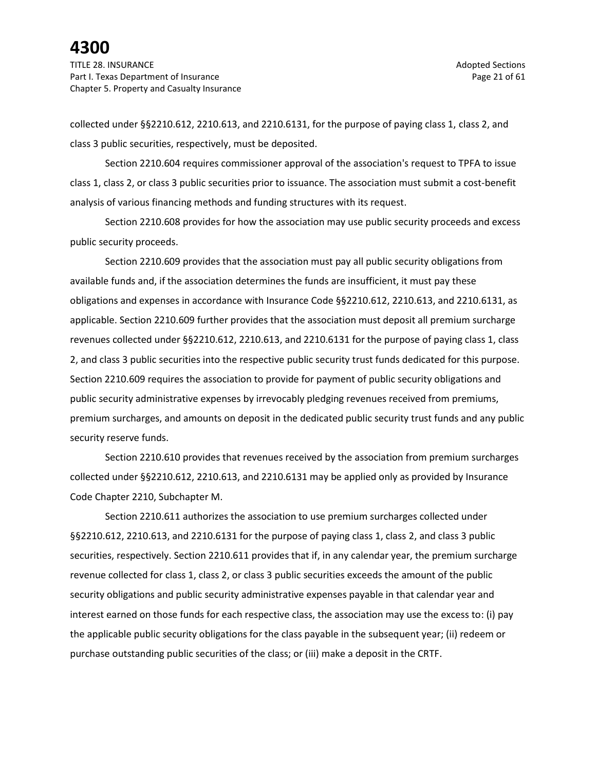collected under §§2210.612, 2210.613, and 2210.6131, for the purpose of paying class 1, class 2, and class 3 public securities, respectively, must be deposited.

Section 2210.604 requires commissioner approval of the association's request to TPFA to issue class 1, class 2, or class 3 public securities prior to issuance. The association must submit a cost-benefit analysis of various financing methods and funding structures with its request.

Section 2210.608 provides for how the association may use public security proceeds and excess public security proceeds.

Section 2210.609 provides that the association must pay all public security obligations from available funds and, if the association determines the funds are insufficient, it must pay these obligations and expenses in accordance with Insurance Code §§2210.612, 2210.613, and 2210.6131, as applicable. Section 2210.609 further provides that the association must deposit all premium surcharge revenues collected under §§2210.612, 2210.613, and 2210.6131 for the purpose of paying class 1, class 2, and class 3 public securities into the respective public security trust funds dedicated for this purpose. Section 2210.609 requires the association to provide for payment of public security obligations and public security administrative expenses by irrevocably pledging revenues received from premiums, premium surcharges, and amounts on deposit in the dedicated public security trust funds and any public security reserve funds.

Section 2210.610 provides that revenues received by the association from premium surcharges collected under §§2210.612, 2210.613, and 2210.6131 may be applied only as provided by Insurance Code Chapter 2210, Subchapter M.

Section 2210.611 authorizes the association to use premium surcharges collected under §§2210.612, 2210.613, and 2210.6131 for the purpose of paying class 1, class 2, and class 3 public securities, respectively. Section 2210.611 provides that if, in any calendar year, the premium surcharge revenue collected for class 1, class 2, or class 3 public securities exceeds the amount of the public security obligations and public security administrative expenses payable in that calendar year and interest earned on those funds for each respective class, the association may use the excess to: (i) pay the applicable public security obligations for the class payable in the subsequent year; (ii) redeem or purchase outstanding public securities of the class; or (iii) make a deposit in the CRTF.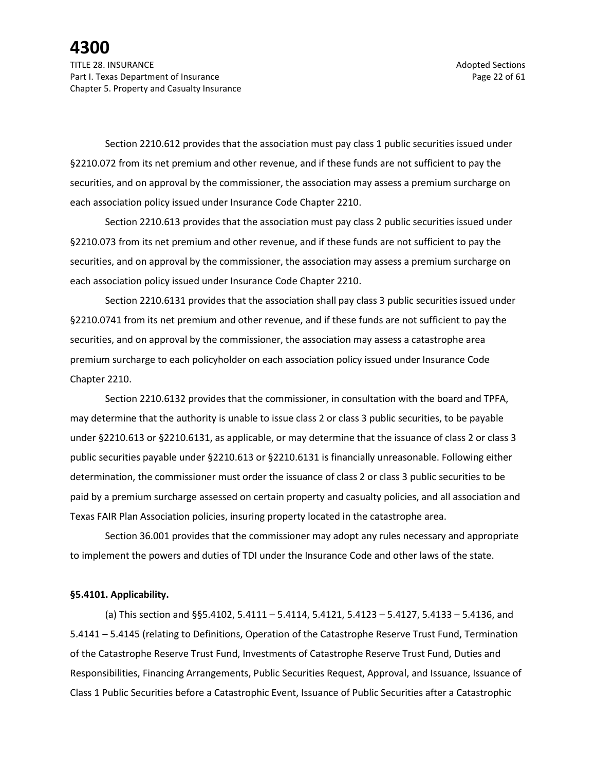Chapter 5. Property and Casualty Insurance

Section 2210.612 provides that the association must pay class 1 public securities issued under §2210.072 from its net premium and other revenue, and if these funds are not sufficient to pay the securities, and on approval by the commissioner, the association may assess a premium surcharge on each association policy issued under Insurance Code Chapter 2210.

Section 2210.613 provides that the association must pay class 2 public securities issued under §2210.073 from its net premium and other revenue, and if these funds are not sufficient to pay the securities, and on approval by the commissioner, the association may assess a premium surcharge on each association policy issued under Insurance Code Chapter 2210.

Section 2210.6131 provides that the association shall pay class 3 public securities issued under §2210.0741 from its net premium and other revenue, and if these funds are not sufficient to pay the securities, and on approval by the commissioner, the association may assess a catastrophe area premium surcharge to each policyholder on each association policy issued under Insurance Code Chapter 2210.

Section 2210.6132 provides that the commissioner, in consultation with the board and TPFA, may determine that the authority is unable to issue class 2 or class 3 public securities, to be payable under §2210.613 or §2210.6131, as applicable, or may determine that the issuance of class 2 or class 3 public securities payable under §2210.613 or §2210.6131 is financially unreasonable. Following either determination, the commissioner must order the issuance of class 2 or class 3 public securities to be paid by a premium surcharge assessed on certain property and casualty policies, and all association and Texas FAIR Plan Association policies, insuring property located in the catastrophe area.

Section 36.001 provides that the commissioner may adopt any rules necessary and appropriate to implement the powers and duties of TDI under the Insurance Code and other laws of the state.

#### **§5.4101. Applicability.**

(a) This section and §§5.4102, 5.4111 – 5.4114, 5.4121, 5.4123 – 5.4127, 5.4133 – 5.4136, and 5.4141 – 5.4145 (relating to Definitions, Operation of the Catastrophe Reserve Trust Fund, Termination of the Catastrophe Reserve Trust Fund, Investments of Catastrophe Reserve Trust Fund, Duties and Responsibilities, Financing Arrangements, Public Securities Request, Approval, and Issuance, Issuance of Class 1 Public Securities before a Catastrophic Event, Issuance of Public Securities after a Catastrophic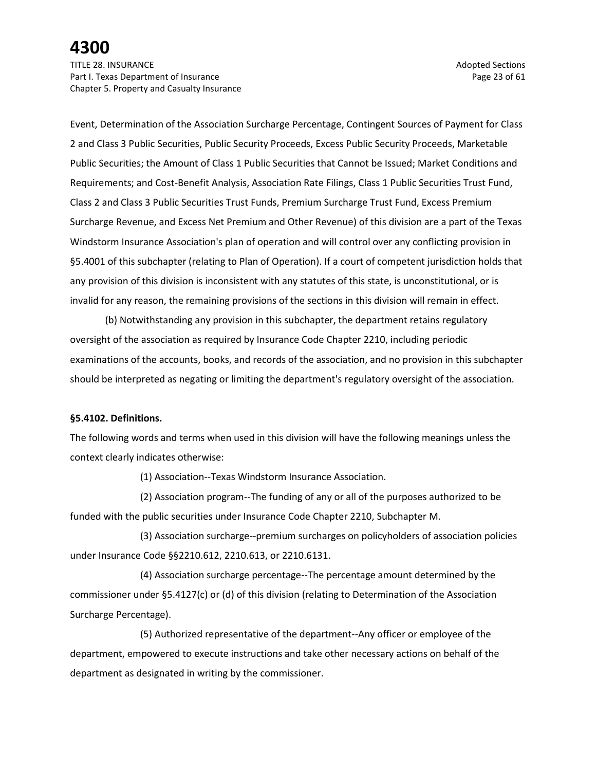TITLE 28. INSURANCE Adopted Sections and the section of the section of the section of the sections of the sections of the sections of the sections of the sections of the sections of the sections of the sections of the sect Part I. Texas Department of Insurance **Page 23** of 61 Chapter 5. Property and Casualty Insurance

Event, Determination of the Association Surcharge Percentage, Contingent Sources of Payment for Class 2 and Class 3 Public Securities, Public Security Proceeds, Excess Public Security Proceeds, Marketable Public Securities; the Amount of Class 1 Public Securities that Cannot be Issued; Market Conditions and Requirements; and Cost-Benefit Analysis, Association Rate Filings, Class 1 Public Securities Trust Fund, Class 2 and Class 3 Public Securities Trust Funds, Premium Surcharge Trust Fund, Excess Premium Surcharge Revenue, and Excess Net Premium and Other Revenue) of this division are a part of the Texas Windstorm Insurance Association's plan of operation and will control over any conflicting provision in §5.4001 of this subchapter (relating to Plan of Operation). If a court of competent jurisdiction holds that any provision of this division is inconsistent with any statutes of this state, is unconstitutional, or is invalid for any reason, the remaining provisions of the sections in this division will remain in effect.

(b) Notwithstanding any provision in this subchapter, the department retains regulatory oversight of the association as required by Insurance Code Chapter 2210, including periodic examinations of the accounts, books, and records of the association, and no provision in this subchapter should be interpreted as negating or limiting the department's regulatory oversight of the association.

### **§5.4102. Definitions.**

The following words and terms when used in this division will have the following meanings unless the context clearly indicates otherwise:

(1) Association--Texas Windstorm Insurance Association.

(2) Association program--The funding of any or all of the purposes authorized to be funded with the public securities under Insurance Code Chapter 2210, Subchapter M.

(3) Association surcharge--premium surcharges on policyholders of association policies under Insurance Code §§2210.612, 2210.613, or 2210.6131.

(4) Association surcharge percentage--The percentage amount determined by the commissioner under §5.4127(c) or (d) of this division (relating to Determination of the Association Surcharge Percentage).

(5) Authorized representative of the department--Any officer or employee of the department, empowered to execute instructions and take other necessary actions on behalf of the department as designated in writing by the commissioner.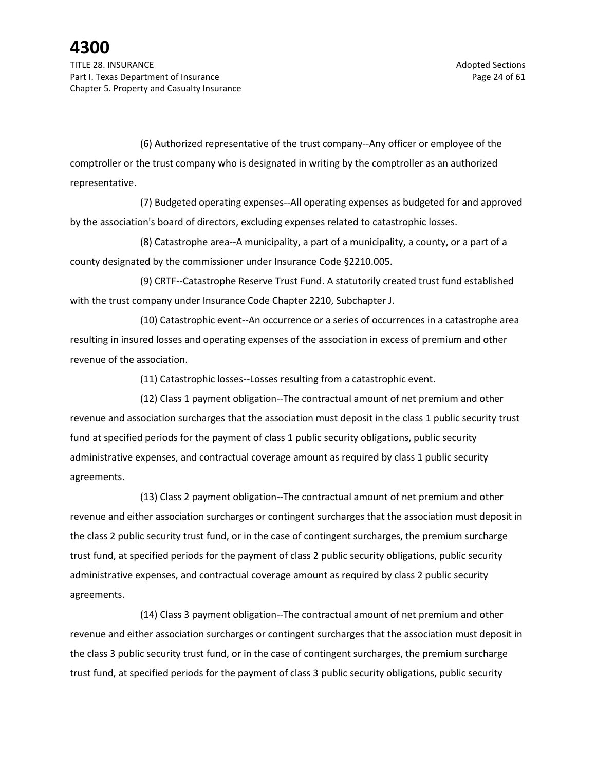(6) Authorized representative of the trust company--Any officer or employee of the comptroller or the trust company who is designated in writing by the comptroller as an authorized representative.

(7) Budgeted operating expenses--All operating expenses as budgeted for and approved by the association's board of directors, excluding expenses related to catastrophic losses.

(8) Catastrophe area--A municipality, a part of a municipality, a county, or a part of a county designated by the commissioner under Insurance Code §2210.005.

(9) CRTF--Catastrophe Reserve Trust Fund. A statutorily created trust fund established with the trust company under Insurance Code Chapter 2210, Subchapter J.

(10) Catastrophic event--An occurrence or a series of occurrences in a catastrophe area resulting in insured losses and operating expenses of the association in excess of premium and other revenue of the association.

(11) Catastrophic losses--Losses resulting from a catastrophic event.

(12) Class 1 payment obligation--The contractual amount of net premium and other revenue and association surcharges that the association must deposit in the class 1 public security trust fund at specified periods for the payment of class 1 public security obligations, public security administrative expenses, and contractual coverage amount as required by class 1 public security agreements.

(13) Class 2 payment obligation--The contractual amount of net premium and other revenue and either association surcharges or contingent surcharges that the association must deposit in the class 2 public security trust fund, or in the case of contingent surcharges, the premium surcharge trust fund, at specified periods for the payment of class 2 public security obligations, public security administrative expenses, and contractual coverage amount as required by class 2 public security agreements.

(14) Class 3 payment obligation--The contractual amount of net premium and other revenue and either association surcharges or contingent surcharges that the association must deposit in the class 3 public security trust fund, or in the case of contingent surcharges, the premium surcharge trust fund, at specified periods for the payment of class 3 public security obligations, public security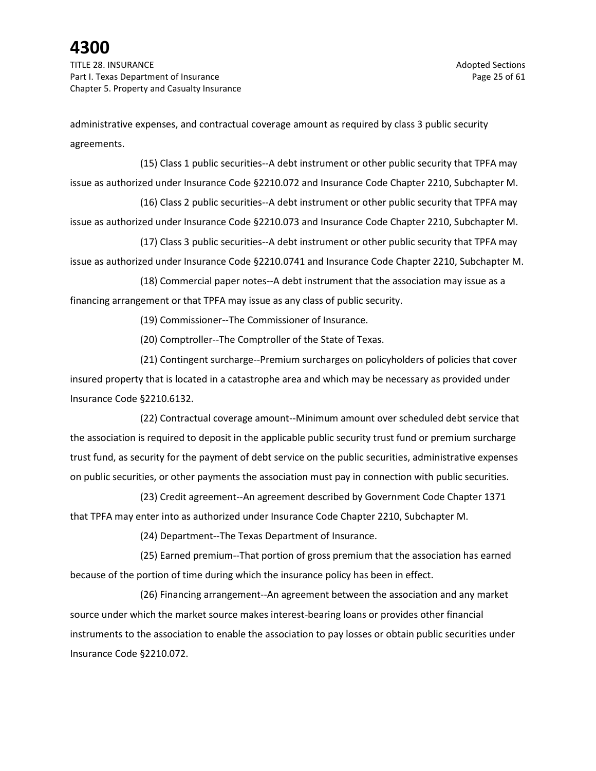TITLE 28. INSURANCE Adopted Sections and the section of the section of the sections of the sections of the sections of the sections of the sections of the sections of the sections of the sections of the sections of the sec Part I. Texas Department of Insurance **Page 25 of 61** Page 25 of 61 Chapter 5. Property and Casualty Insurance

administrative expenses, and contractual coverage amount as required by class 3 public security agreements.

(15) Class 1 public securities--A debt instrument or other public security that TPFA may issue as authorized under Insurance Code §2210.072 and Insurance Code Chapter 2210, Subchapter M.

(16) Class 2 public securities--A debt instrument or other public security that TPFA may issue as authorized under Insurance Code §2210.073 and Insurance Code Chapter 2210, Subchapter M.

(17) Class 3 public securities--A debt instrument or other public security that TPFA may issue as authorized under Insurance Code §2210.0741 and Insurance Code Chapter 2210, Subchapter M.

(18) Commercial paper notes--A debt instrument that the association may issue as a financing arrangement or that TPFA may issue as any class of public security.

(19) Commissioner--The Commissioner of Insurance.

(20) Comptroller--The Comptroller of the State of Texas.

(21) Contingent surcharge--Premium surcharges on policyholders of policies that cover insured property that is located in a catastrophe area and which may be necessary as provided under Insurance Code §2210.6132.

(22) Contractual coverage amount--Minimum amount over scheduled debt service that the association is required to deposit in the applicable public security trust fund or premium surcharge trust fund, as security for the payment of debt service on the public securities, administrative expenses on public securities, or other payments the association must pay in connection with public securities.

(23) Credit agreement--An agreement described by Government Code Chapter 1371 that TPFA may enter into as authorized under Insurance Code Chapter 2210, Subchapter M.

(24) Department--The Texas Department of Insurance.

(25) Earned premium--That portion of gross premium that the association has earned because of the portion of time during which the insurance policy has been in effect.

(26) Financing arrangement--An agreement between the association and any market source under which the market source makes interest-bearing loans or provides other financial instruments to the association to enable the association to pay losses or obtain public securities under Insurance Code §2210.072.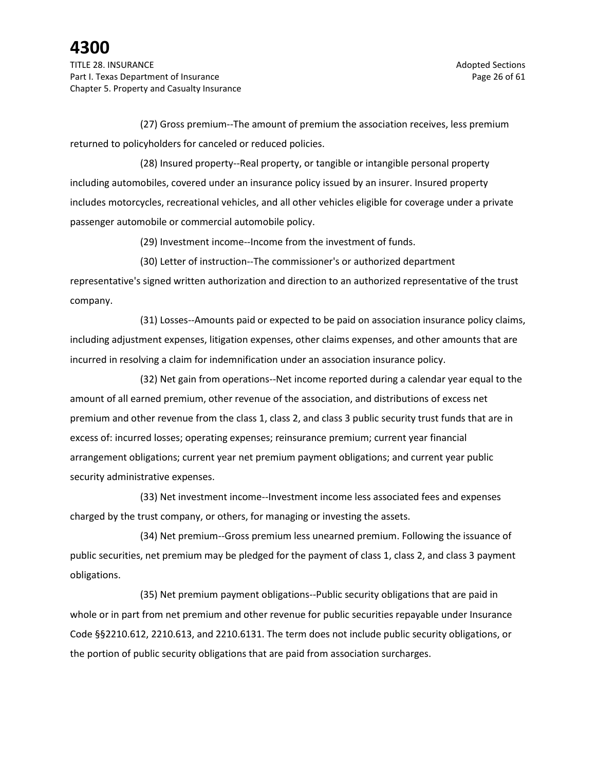(27) Gross premium--The amount of premium the association receives, less premium returned to policyholders for canceled or reduced policies.

(28) Insured property--Real property, or tangible or intangible personal property including automobiles, covered under an insurance policy issued by an insurer. Insured property includes motorcycles, recreational vehicles, and all other vehicles eligible for coverage under a private passenger automobile or commercial automobile policy.

(29) Investment income--Income from the investment of funds.

(30) Letter of instruction--The commissioner's or authorized department representative's signed written authorization and direction to an authorized representative of the trust company.

(31) Losses--Amounts paid or expected to be paid on association insurance policy claims, including adjustment expenses, litigation expenses, other claims expenses, and other amounts that are incurred in resolving a claim for indemnification under an association insurance policy.

(32) Net gain from operations--Net income reported during a calendar year equal to the amount of all earned premium, other revenue of the association, and distributions of excess net premium and other revenue from the class 1, class 2, and class 3 public security trust funds that are in excess of: incurred losses; operating expenses; reinsurance premium; current year financial arrangement obligations; current year net premium payment obligations; and current year public security administrative expenses.

(33) Net investment income--Investment income less associated fees and expenses charged by the trust company, or others, for managing or investing the assets.

(34) Net premium--Gross premium less unearned premium. Following the issuance of public securities, net premium may be pledged for the payment of class 1, class 2, and class 3 payment obligations.

(35) Net premium payment obligations--Public security obligations that are paid in whole or in part from net premium and other revenue for public securities repayable under Insurance Code §§2210.612, 2210.613, and 2210.6131. The term does not include public security obligations, or the portion of public security obligations that are paid from association surcharges.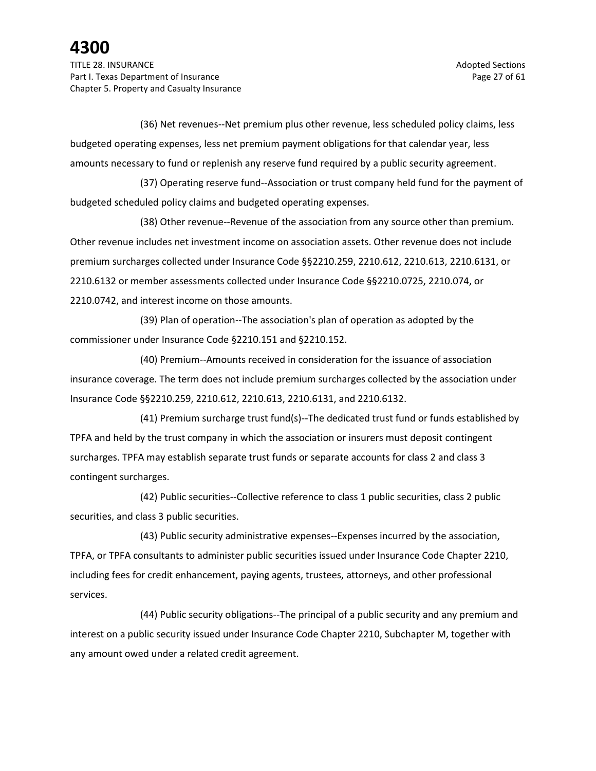(36) Net revenues--Net premium plus other revenue, less scheduled policy claims, less budgeted operating expenses, less net premium payment obligations for that calendar year, less amounts necessary to fund or replenish any reserve fund required by a public security agreement.

(37) Operating reserve fund--Association or trust company held fund for the payment of budgeted scheduled policy claims and budgeted operating expenses.

(38) Other revenue--Revenue of the association from any source other than premium. Other revenue includes net investment income on association assets. Other revenue does not include premium surcharges collected under Insurance Code §§2210.259, 2210.612, 2210.613, 2210.6131, or 2210.6132 or member assessments collected under Insurance Code §§2210.0725, 2210.074, or 2210.0742, and interest income on those amounts.

(39) Plan of operation--The association's plan of operation as adopted by the commissioner under Insurance Code §2210.151 and §2210.152.

(40) Premium--Amounts received in consideration for the issuance of association insurance coverage. The term does not include premium surcharges collected by the association under Insurance Code §§2210.259, 2210.612, 2210.613, 2210.6131, and 2210.6132.

(41) Premium surcharge trust fund(s)--The dedicated trust fund or funds established by TPFA and held by the trust company in which the association or insurers must deposit contingent surcharges. TPFA may establish separate trust funds or separate accounts for class 2 and class 3 contingent surcharges.

(42) Public securities--Collective reference to class 1 public securities, class 2 public securities, and class 3 public securities.

(43) Public security administrative expenses--Expenses incurred by the association, TPFA, or TPFA consultants to administer public securities issued under Insurance Code Chapter 2210, including fees for credit enhancement, paying agents, trustees, attorneys, and other professional services.

(44) Public security obligations--The principal of a public security and any premium and interest on a public security issued under Insurance Code Chapter 2210, Subchapter M, together with any amount owed under a related credit agreement.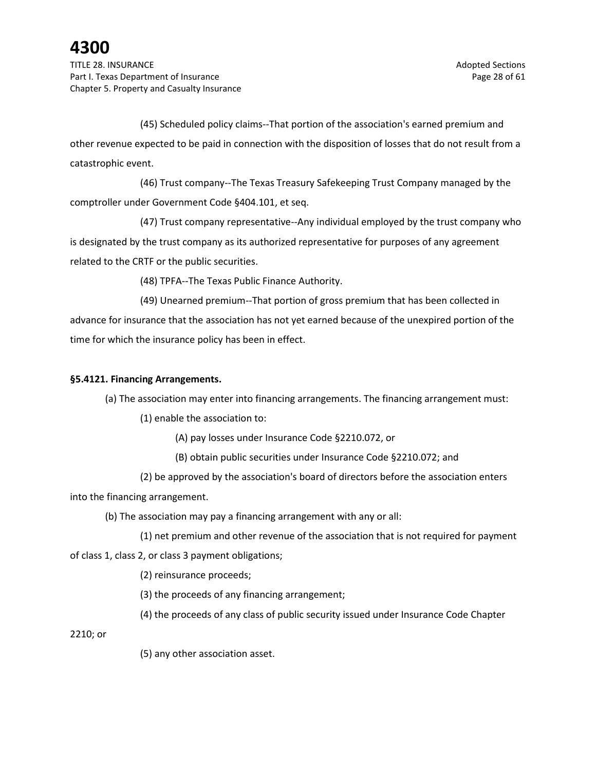TITLE 28. INSURANCE Adopted Sections and the section of the section of the sections of the sections of the sections of the sections of the sections of the sections of the sections of the sections of the sections of the sec Part I. Texas Department of Insurance **Page 28 of 61** Page 28 of 61 Chapter 5. Property and Casualty Insurance

(45) Scheduled policy claims--That portion of the association's earned premium and other revenue expected to be paid in connection with the disposition of losses that do not result from a catastrophic event.

(46) Trust company--The Texas Treasury Safekeeping Trust Company managed by the comptroller under Government Code §404.101, et seq.

(47) Trust company representative--Any individual employed by the trust company who is designated by the trust company as its authorized representative for purposes of any agreement related to the CRTF or the public securities.

(48) TPFA--The Texas Public Finance Authority.

(49) Unearned premium--That portion of gross premium that has been collected in advance for insurance that the association has not yet earned because of the unexpired portion of the time for which the insurance policy has been in effect.

### **§5.4121. Financing Arrangements.**

(a) The association may enter into financing arrangements. The financing arrangement must:

(1) enable the association to:

(A) pay losses under Insurance Code §2210.072, or

(B) obtain public securities under Insurance Code §2210.072; and

(2) be approved by the association's board of directors before the association enters into the financing arrangement.

(b) The association may pay a financing arrangement with any or all:

(1) net premium and other revenue of the association that is not required for payment

of class 1, class 2, or class 3 payment obligations;

(2) reinsurance proceeds;

(3) the proceeds of any financing arrangement;

(4) the proceeds of any class of public security issued under Insurance Code Chapter

2210; or

(5) any other association asset.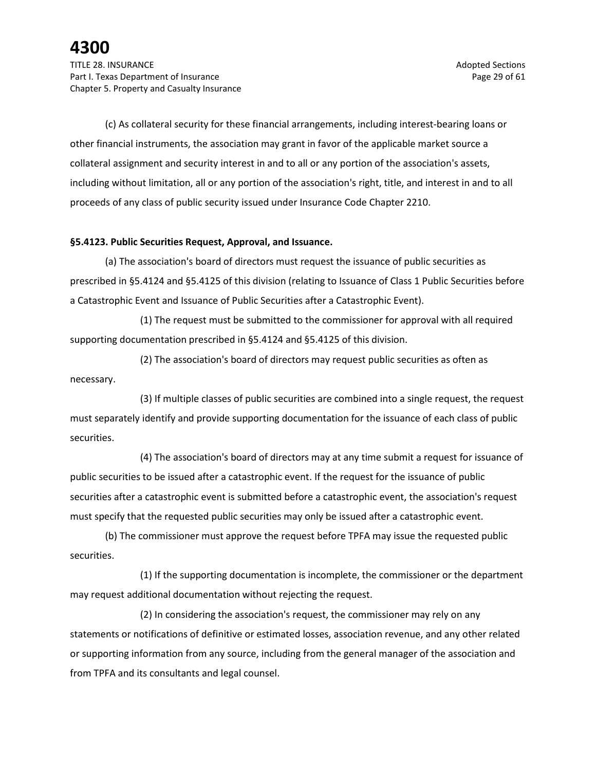(c) As collateral security for these financial arrangements, including interest-bearing loans or other financial instruments, the association may grant in favor of the applicable market source a collateral assignment and security interest in and to all or any portion of the association's assets, including without limitation, all or any portion of the association's right, title, and interest in and to all proceeds of any class of public security issued under Insurance Code Chapter 2210.

### **§5.4123. Public Securities Request, Approval, and Issuance.**

(a) The association's board of directors must request the issuance of public securities as prescribed in §5.4124 and §5.4125 of this division (relating to Issuance of Class 1 Public Securities before a Catastrophic Event and Issuance of Public Securities after a Catastrophic Event).

(1) The request must be submitted to the commissioner for approval with all required supporting documentation prescribed in §5.4124 and §5.4125 of this division.

(2) The association's board of directors may request public securities as often as necessary.

(3) If multiple classes of public securities are combined into a single request, the request must separately identify and provide supporting documentation for the issuance of each class of public securities.

(4) The association's board of directors may at any time submit a request for issuance of public securities to be issued after a catastrophic event. If the request for the issuance of public securities after a catastrophic event is submitted before a catastrophic event, the association's request must specify that the requested public securities may only be issued after a catastrophic event.

(b) The commissioner must approve the request before TPFA may issue the requested public securities.

(1) If the supporting documentation is incomplete, the commissioner or the department may request additional documentation without rejecting the request.

(2) In considering the association's request, the commissioner may rely on any statements or notifications of definitive or estimated losses, association revenue, and any other related or supporting information from any source, including from the general manager of the association and from TPFA and its consultants and legal counsel.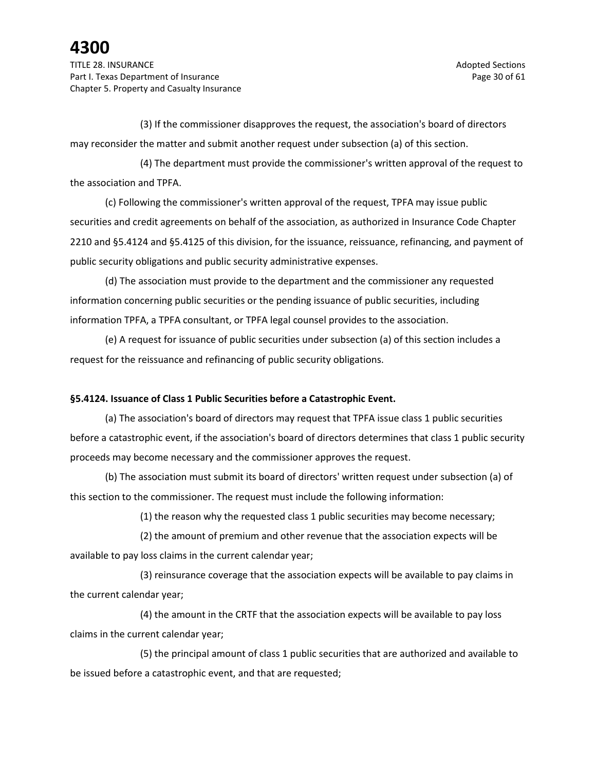TITLE 28. INSURANCE Adopted Sections and the section of the section of the sections of the sections of the sections of the sections of the sections of the sections of the sections of the sections of the sections of the sec Part I. Texas Department of Insurance **Page 30** of 61 Chapter 5. Property and Casualty Insurance

(3) If the commissioner disapproves the request, the association's board of directors may reconsider the matter and submit another request under subsection (a) of this section.

(4) The department must provide the commissioner's written approval of the request to the association and TPFA.

(c) Following the commissioner's written approval of the request, TPFA may issue public securities and credit agreements on behalf of the association, as authorized in Insurance Code Chapter 2210 and §5.4124 and §5.4125 of this division, for the issuance, reissuance, refinancing, and payment of public security obligations and public security administrative expenses.

(d) The association must provide to the department and the commissioner any requested information concerning public securities or the pending issuance of public securities, including information TPFA, a TPFA consultant, or TPFA legal counsel provides to the association.

(e) A request for issuance of public securities under subsection (a) of this section includes a request for the reissuance and refinancing of public security obligations.

### **§5.4124. Issuance of Class 1 Public Securities before a Catastrophic Event.**

(a) The association's board of directors may request that TPFA issue class 1 public securities before a catastrophic event, if the association's board of directors determines that class 1 public security proceeds may become necessary and the commissioner approves the request.

(b) The association must submit its board of directors' written request under subsection (a) of this section to the commissioner. The request must include the following information:

(1) the reason why the requested class 1 public securities may become necessary;

(2) the amount of premium and other revenue that the association expects will be available to pay loss claims in the current calendar year;

(3) reinsurance coverage that the association expects will be available to pay claims in the current calendar year;

(4) the amount in the CRTF that the association expects will be available to pay loss claims in the current calendar year;

(5) the principal amount of class 1 public securities that are authorized and available to be issued before a catastrophic event, and that are requested;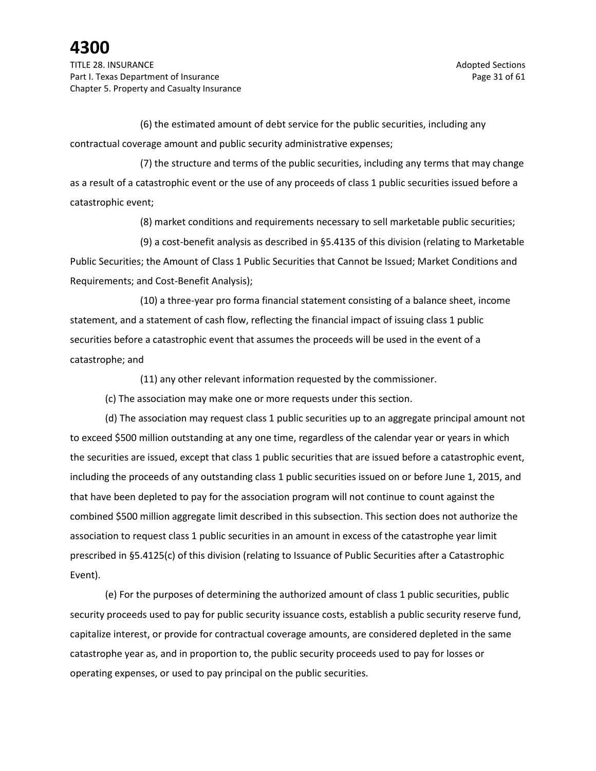TITLE 28. INSURANCE Adopted Sections and the section of the section of the section of the sections of the sections of the sections of the sections of the sections of the sections of the sections of the sections of the sect Part I. Texas Department of Insurance **Page 31** of 61 Chapter 5. Property and Casualty Insurance

(6) the estimated amount of debt service for the public securities, including any contractual coverage amount and public security administrative expenses;

(7) the structure and terms of the public securities, including any terms that may change as a result of a catastrophic event or the use of any proceeds of class 1 public securities issued before a catastrophic event;

(8) market conditions and requirements necessary to sell marketable public securities;

(9) a cost-benefit analysis as described in §5.4135 of this division (relating to Marketable Public Securities; the Amount of Class 1 Public Securities that Cannot be Issued; Market Conditions and Requirements; and Cost-Benefit Analysis);

(10) a three-year pro forma financial statement consisting of a balance sheet, income statement, and a statement of cash flow, reflecting the financial impact of issuing class 1 public securities before a catastrophic event that assumes the proceeds will be used in the event of a catastrophe; and

(11) any other relevant information requested by the commissioner.

(c) The association may make one or more requests under this section.

(d) The association may request class 1 public securities up to an aggregate principal amount not to exceed \$500 million outstanding at any one time, regardless of the calendar year or years in which the securities are issued, except that class 1 public securities that are issued before a catastrophic event, including the proceeds of any outstanding class 1 public securities issued on or before June 1, 2015, and that have been depleted to pay for the association program will not continue to count against the combined \$500 million aggregate limit described in this subsection. This section does not authorize the association to request class 1 public securities in an amount in excess of the catastrophe year limit prescribed in §5.4125(c) of this division (relating to Issuance of Public Securities after a Catastrophic Event).

(e) For the purposes of determining the authorized amount of class 1 public securities, public security proceeds used to pay for public security issuance costs, establish a public security reserve fund, capitalize interest, or provide for contractual coverage amounts, are considered depleted in the same catastrophe year as, and in proportion to, the public security proceeds used to pay for losses or operating expenses, or used to pay principal on the public securities.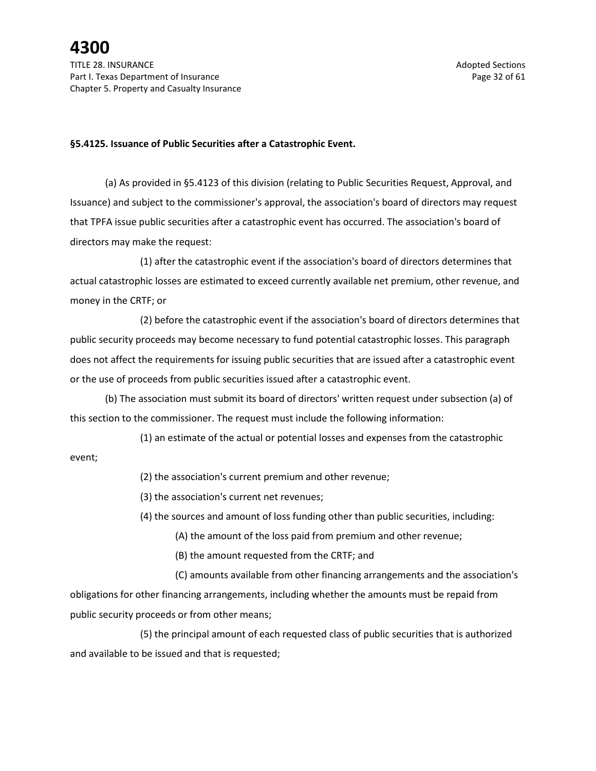#### **§5.4125. Issuance of Public Securities after a Catastrophic Event.**

(a) As provided in §5.4123 of this division (relating to Public Securities Request, Approval, and Issuance) and subject to the commissioner's approval, the association's board of directors may request that TPFA issue public securities after a catastrophic event has occurred. The association's board of directors may make the request:

(1) after the catastrophic event if the association's board of directors determines that actual catastrophic losses are estimated to exceed currently available net premium, other revenue, and money in the CRTF; or

(2) before the catastrophic event if the association's board of directors determines that public security proceeds may become necessary to fund potential catastrophic losses. This paragraph does not affect the requirements for issuing public securities that are issued after a catastrophic event or the use of proceeds from public securities issued after a catastrophic event.

(b) The association must submit its board of directors' written request under subsection (a) of this section to the commissioner. The request must include the following information:

(1) an estimate of the actual or potential losses and expenses from the catastrophic

event;

(2) the association's current premium and other revenue;

(3) the association's current net revenues;

(4) the sources and amount of loss funding other than public securities, including:

(A) the amount of the loss paid from premium and other revenue;

(B) the amount requested from the CRTF; and

(C) amounts available from other financing arrangements and the association's obligations for other financing arrangements, including whether the amounts must be repaid from public security proceeds or from other means;

(5) the principal amount of each requested class of public securities that is authorized and available to be issued and that is requested;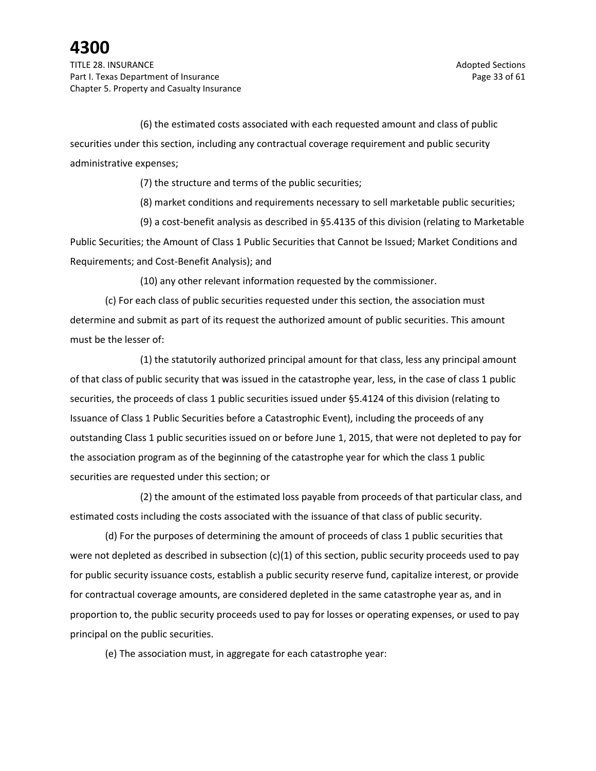TITLE 28. INSURANCE Adopted Sections and the section of the section of the section of the sections of the sections of the sections of the sections of the sections of the sections of the sections of the sections of the sect Part I. Texas Department of Insurance **Page 33** of 61 Chapter 5. Property and Casualty Insurance

(6) the estimated costs associated with each requested amount and class of public securities under this section, including any contractual coverage requirement and public security administrative expenses;

(7) the structure and terms of the public securities;

(8) market conditions and requirements necessary to sell marketable public securities;

(9) a cost-benefit analysis as described in §5.4135 of this division (relating to Marketable Public Securities; the Amount of Class 1 Public Securities that Cannot be Issued; Market Conditions and Requirements; and Cost-Benefit Analysis); and

(10) any other relevant information requested by the commissioner.

(c) For each class of public securities requested under this section, the association must determine and submit as part of its request the authorized amount of public securities. This amount must be the lesser of:

(1) the statutorily authorized principal amount for that class, less any principal amount of that class of public security that was issued in the catastrophe year, less, in the case of class 1 public securities, the proceeds of class 1 public securities issued under §5.4124 of this division (relating to Issuance of Class 1 Public Securities before a Catastrophic Event), including the proceeds of any outstanding Class 1 public securities issued on or before June 1, 2015, that were not depleted to pay for the association program as of the beginning of the catastrophe year for which the class 1 public securities are requested under this section; or

(2) the amount of the estimated loss payable from proceeds of that particular class, and estimated costs including the costs associated with the issuance of that class of public security.

(d) For the purposes of determining the amount of proceeds of class 1 public securities that were not depleted as described in subsection  $(c)(1)$  of this section, public security proceeds used to pay for public security issuance costs, establish a public security reserve fund, capitalize interest, or provide for contractual coverage amounts, are considered depleted in the same catastrophe year as, and in proportion to, the public security proceeds used to pay for losses or operating expenses, or used to pay principal on the public securities.

(e) The association must, in aggregate for each catastrophe year: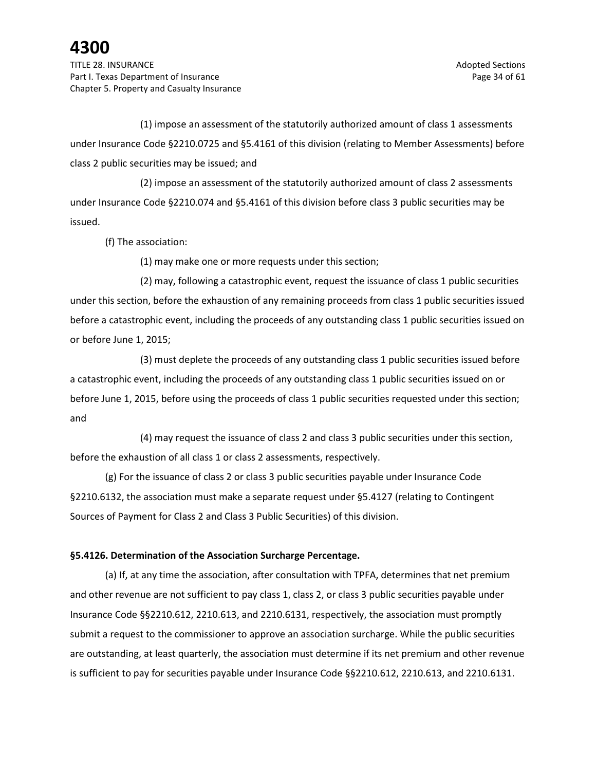TITLE 28. INSURANCE Adopted Sections and the section of the section of the section of the sections of the sections of the sections of the sections of the sections of the sections of the sections of the sections of the sect Part I. Texas Department of Insurance **Page 34 of 61** and 200 and 200 and 200 and 200 and 200 and 200 and 200 and 200 and 200 and 200 and 200 and 200 and 200 and 200 and 200 and 200 and 200 and 200 and 200 and 200 and 200 Chapter 5. Property and Casualty Insurance

(1) impose an assessment of the statutorily authorized amount of class 1 assessments under Insurance Code §2210.0725 and §5.4161 of this division (relating to Member Assessments) before class 2 public securities may be issued; and

(2) impose an assessment of the statutorily authorized amount of class 2 assessments under Insurance Code §2210.074 and §5.4161 of this division before class 3 public securities may be issued.

(f) The association:

(1) may make one or more requests under this section;

(2) may, following a catastrophic event, request the issuance of class 1 public securities under this section, before the exhaustion of any remaining proceeds from class 1 public securities issued before a catastrophic event, including the proceeds of any outstanding class 1 public securities issued on or before June 1, 2015;

(3) must deplete the proceeds of any outstanding class 1 public securities issued before a catastrophic event, including the proceeds of any outstanding class 1 public securities issued on or before June 1, 2015, before using the proceeds of class 1 public securities requested under this section; and

(4) may request the issuance of class 2 and class 3 public securities under this section, before the exhaustion of all class 1 or class 2 assessments, respectively.

(g) For the issuance of class 2 or class 3 public securities payable under Insurance Code §2210.6132, the association must make a separate request under §5.4127 (relating to Contingent Sources of Payment for Class 2 and Class 3 Public Securities) of this division.

#### **§5.4126. Determination of the Association Surcharge Percentage.**

(a) If, at any time the association, after consultation with TPFA, determines that net premium and other revenue are not sufficient to pay class 1, class 2, or class 3 public securities payable under Insurance Code §§2210.612, 2210.613, and 2210.6131, respectively, the association must promptly submit a request to the commissioner to approve an association surcharge. While the public securities are outstanding, at least quarterly, the association must determine if its net premium and other revenue is sufficient to pay for securities payable under Insurance Code §§2210.612, 2210.613, and 2210.6131.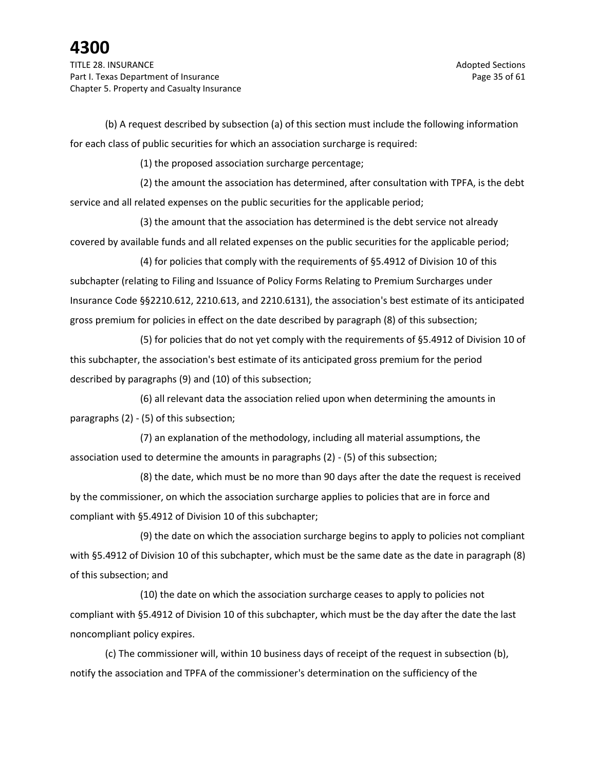(b) A request described by subsection (a) of this section must include the following information for each class of public securities for which an association surcharge is required:

(1) the proposed association surcharge percentage;

(2) the amount the association has determined, after consultation with TPFA, is the debt service and all related expenses on the public securities for the applicable period;

(3) the amount that the association has determined is the debt service not already covered by available funds and all related expenses on the public securities for the applicable period;

(4) for policies that comply with the requirements of §5.4912 of Division 10 of this subchapter (relating to Filing and Issuance of Policy Forms Relating to Premium Surcharges under Insurance Code §§2210.612, 2210.613, and 2210.6131), the association's best estimate of its anticipated gross premium for policies in effect on the date described by paragraph (8) of this subsection;

(5) for policies that do not yet comply with the requirements of §5.4912 of Division 10 of this subchapter, the association's best estimate of its anticipated gross premium for the period described by paragraphs (9) and (10) of this subsection;

(6) all relevant data the association relied upon when determining the amounts in paragraphs (2) - (5) of this subsection;

(7) an explanation of the methodology, including all material assumptions, the association used to determine the amounts in paragraphs (2) - (5) of this subsection;

(8) the date, which must be no more than 90 days after the date the request is received by the commissioner, on which the association surcharge applies to policies that are in force and compliant with §5.4912 of Division 10 of this subchapter;

(9) the date on which the association surcharge begins to apply to policies not compliant with §5.4912 of Division 10 of this subchapter, which must be the same date as the date in paragraph (8) of this subsection; and

(10) the date on which the association surcharge ceases to apply to policies not compliant with §5.4912 of Division 10 of this subchapter, which must be the day after the date the last noncompliant policy expires.

(c) The commissioner will, within 10 business days of receipt of the request in subsection (b), notify the association and TPFA of the commissioner's determination on the sufficiency of the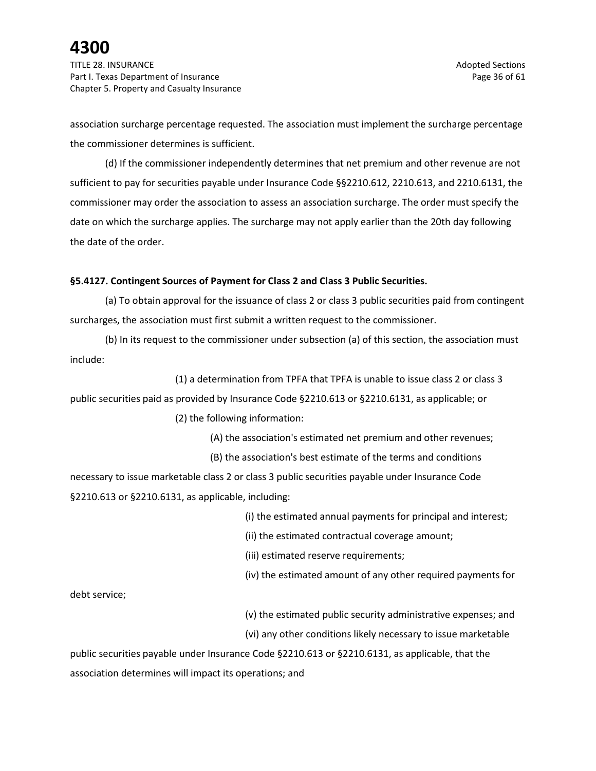TITLE 28. INSURANCE Adopted Sections and the section of the section of the section of the sections of the sections of the sections of the sections of the sections of the sections of the sections of the sections of the sect Part I. Texas Department of Insurance **Page 36 of 61** and 200 and 200 and 200 and 200 and 200 and 200 and 200 and 200 and 200 and 200 and 200 and 200 and 200 and 200 and 200 and 200 and 200 and 200 and 200 and 200 and 200 Chapter 5. Property and Casualty Insurance

association surcharge percentage requested. The association must implement the surcharge percentage the commissioner determines is sufficient.

(d) If the commissioner independently determines that net premium and other revenue are not sufficient to pay for securities payable under Insurance Code §§2210.612, 2210.613, and 2210.6131, the commissioner may order the association to assess an association surcharge. The order must specify the date on which the surcharge applies. The surcharge may not apply earlier than the 20th day following the date of the order.

### **§5.4127. Contingent Sources of Payment for Class 2 and Class 3 Public Securities.**

(a) To obtain approval for the issuance of class 2 or class 3 public securities paid from contingent surcharges, the association must first submit a written request to the commissioner.

(b) In its request to the commissioner under subsection (a) of this section, the association must include:

(1) a determination from TPFA that TPFA is unable to issue class 2 or class 3 public securities paid as provided by Insurance Code §2210.613 or §2210.6131, as applicable; or

(2) the following information:

(A) the association's estimated net premium and other revenues;

(B) the association's best estimate of the terms and conditions

necessary to issue marketable class 2 or class 3 public securities payable under Insurance Code §2210.613 or §2210.6131, as applicable, including:

(i) the estimated annual payments for principal and interest;

(ii) the estimated contractual coverage amount;

(iii) estimated reserve requirements;

(iv) the estimated amount of any other required payments for

debt service;

(v) the estimated public security administrative expenses; and

(vi) any other conditions likely necessary to issue marketable

public securities payable under Insurance Code §2210.613 or §2210.6131, as applicable, that the association determines will impact its operations; and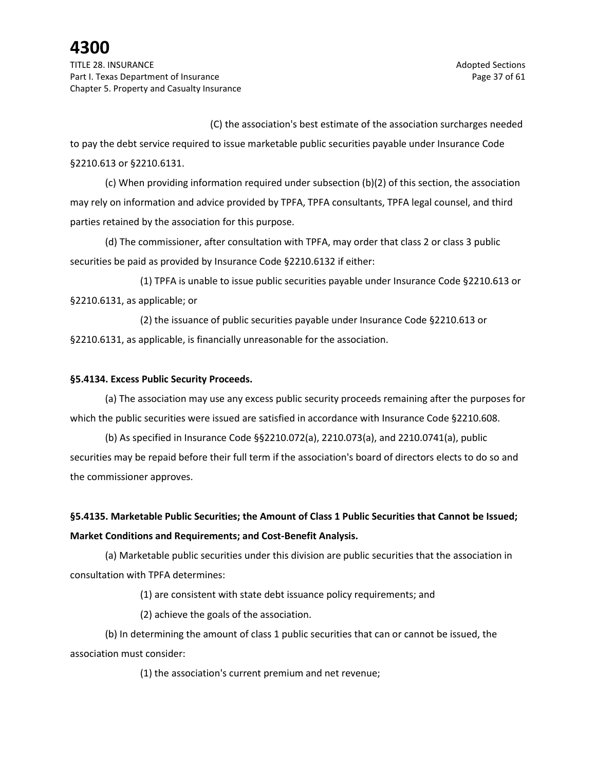TITLE 28. INSURANCE Adopted Sections and the section of the section of the sections of the sections of the sections of the sections of the sections of the sections of the sections of the sections of the sections of the sec Part I. Texas Department of Insurance **Page 37** of 61 Chapter 5. Property and Casualty Insurance

(C) the association's best estimate of the association surcharges needed

to pay the debt service required to issue marketable public securities payable under Insurance Code §2210.613 or §2210.6131.

(c) When providing information required under subsection (b)(2) of this section, the association may rely on information and advice provided by TPFA, TPFA consultants, TPFA legal counsel, and third parties retained by the association for this purpose.

(d) The commissioner, after consultation with TPFA, may order that class 2 or class 3 public securities be paid as provided by Insurance Code §2210.6132 if either:

(1) TPFA is unable to issue public securities payable under Insurance Code §2210.613 or §2210.6131, as applicable; or

(2) the issuance of public securities payable under Insurance Code §2210.613 or §2210.6131, as applicable, is financially unreasonable for the association.

### **§5.4134. Excess Public Security Proceeds.**

(a) The association may use any excess public security proceeds remaining after the purposes for which the public securities were issued are satisfied in accordance with Insurance Code §2210.608.

(b) As specified in Insurance Code §§2210.072(a), 2210.073(a), and 2210.0741(a), public securities may be repaid before their full term if the association's board of directors elects to do so and the commissioner approves.

### **§5.4135. Marketable Public Securities; the Amount of Class 1 Public Securities that Cannot be Issued; Market Conditions and Requirements; and Cost-Benefit Analysis.**

(a) Marketable public securities under this division are public securities that the association in consultation with TPFA determines:

(1) are consistent with state debt issuance policy requirements; and

(2) achieve the goals of the association.

(b) In determining the amount of class 1 public securities that can or cannot be issued, the association must consider:

(1) the association's current premium and net revenue;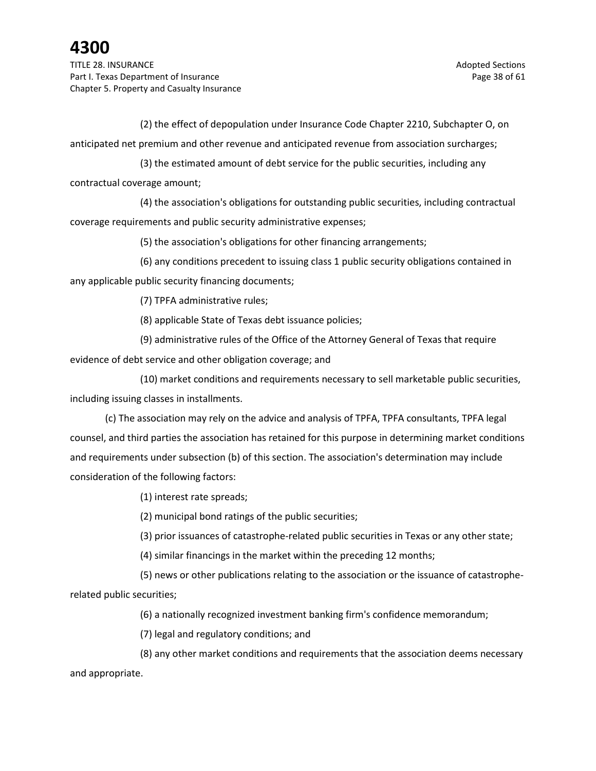TITLE 28. INSURANCE Adopted Sections and the section of the section of the sections of the sections of the sections of the sections of the sections of the sections of the sections of the sections of the sections of the sec Part I. Texas Department of Insurance **Page 38 of 61** Page 38 of 61 Chapter 5. Property and Casualty Insurance

(2) the effect of depopulation under Insurance Code Chapter 2210, Subchapter O, on anticipated net premium and other revenue and anticipated revenue from association surcharges;

(3) the estimated amount of debt service for the public securities, including any contractual coverage amount;

(4) the association's obligations for outstanding public securities, including contractual coverage requirements and public security administrative expenses;

(5) the association's obligations for other financing arrangements;

(6) any conditions precedent to issuing class 1 public security obligations contained in any applicable public security financing documents;

(7) TPFA administrative rules;

(8) applicable State of Texas debt issuance policies;

(9) administrative rules of the Office of the Attorney General of Texas that require

evidence of debt service and other obligation coverage; and

(10) market conditions and requirements necessary to sell marketable public securities, including issuing classes in installments.

(c) The association may rely on the advice and analysis of TPFA, TPFA consultants, TPFA legal counsel, and third parties the association has retained for this purpose in determining market conditions and requirements under subsection (b) of this section. The association's determination may include consideration of the following factors:

(1) interest rate spreads;

(2) municipal bond ratings of the public securities;

(3) prior issuances of catastrophe-related public securities in Texas or any other state;

(4) similar financings in the market within the preceding 12 months;

(5) news or other publications relating to the association or the issuance of catastropherelated public securities;

(6) a nationally recognized investment banking firm's confidence memorandum;

(7) legal and regulatory conditions; and

(8) any other market conditions and requirements that the association deems necessary and appropriate.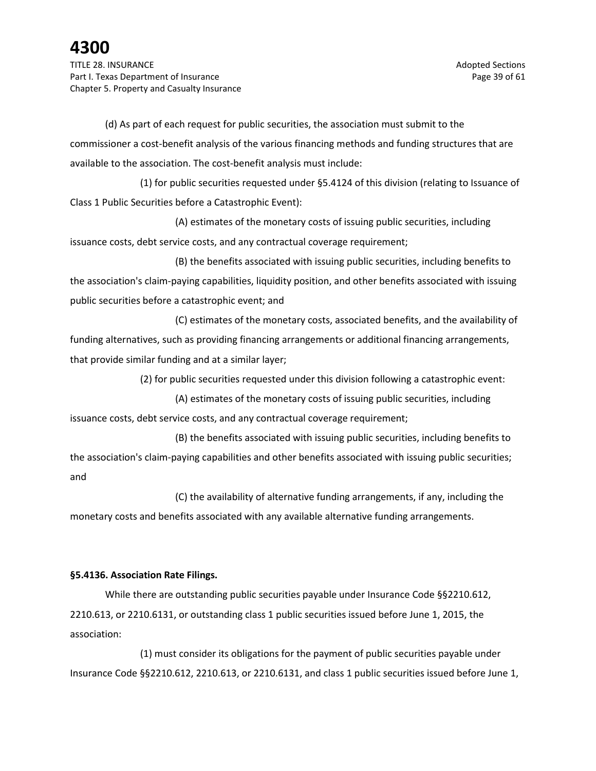(d) As part of each request for public securities, the association must submit to the commissioner a cost-benefit analysis of the various financing methods and funding structures that are available to the association. The cost-benefit analysis must include:

(1) for public securities requested under §5.4124 of this division (relating to Issuance of Class 1 Public Securities before a Catastrophic Event):

(A) estimates of the monetary costs of issuing public securities, including issuance costs, debt service costs, and any contractual coverage requirement;

(B) the benefits associated with issuing public securities, including benefits to the association's claim-paying capabilities, liquidity position, and other benefits associated with issuing public securities before a catastrophic event; and

(C) estimates of the monetary costs, associated benefits, and the availability of funding alternatives, such as providing financing arrangements or additional financing arrangements, that provide similar funding and at a similar layer;

(2) for public securities requested under this division following a catastrophic event:

(A) estimates of the monetary costs of issuing public securities, including issuance costs, debt service costs, and any contractual coverage requirement;

(B) the benefits associated with issuing public securities, including benefits to the association's claim-paying capabilities and other benefits associated with issuing public securities; and

(C) the availability of alternative funding arrangements, if any, including the monetary costs and benefits associated with any available alternative funding arrangements.

### **§5.4136. Association Rate Filings.**

While there are outstanding public securities payable under Insurance Code §§2210.612, 2210.613, or 2210.6131, or outstanding class 1 public securities issued before June 1, 2015, the association:

(1) must consider its obligations for the payment of public securities payable under Insurance Code §§2210.612, 2210.613, or 2210.6131, and class 1 public securities issued before June 1,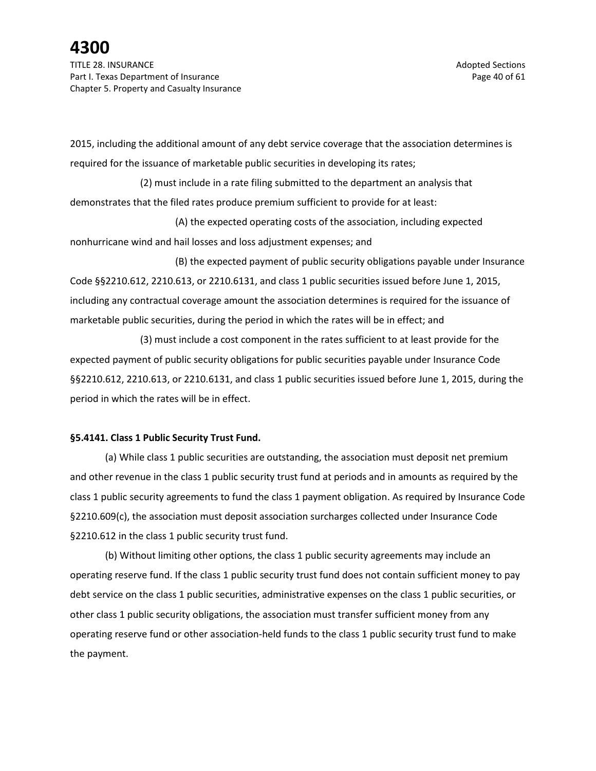2015, including the additional amount of any debt service coverage that the association determines is required for the issuance of marketable public securities in developing its rates;

(2) must include in a rate filing submitted to the department an analysis that demonstrates that the filed rates produce premium sufficient to provide for at least:

(A) the expected operating costs of the association, including expected nonhurricane wind and hail losses and loss adjustment expenses; and

(B) the expected payment of public security obligations payable under Insurance Code §§2210.612, 2210.613, or 2210.6131, and class 1 public securities issued before June 1, 2015, including any contractual coverage amount the association determines is required for the issuance of marketable public securities, during the period in which the rates will be in effect; and

(3) must include a cost component in the rates sufficient to at least provide for the expected payment of public security obligations for public securities payable under Insurance Code §§2210.612, 2210.613, or 2210.6131, and class 1 public securities issued before June 1, 2015, during the period in which the rates will be in effect.

### **§5.4141. Class 1 Public Security Trust Fund.**

(a) While class 1 public securities are outstanding, the association must deposit net premium and other revenue in the class 1 public security trust fund at periods and in amounts as required by the class 1 public security agreements to fund the class 1 payment obligation. As required by Insurance Code §2210.609(c), the association must deposit association surcharges collected under Insurance Code §2210.612 in the class 1 public security trust fund.

(b) Without limiting other options, the class 1 public security agreements may include an operating reserve fund. If the class 1 public security trust fund does not contain sufficient money to pay debt service on the class 1 public securities, administrative expenses on the class 1 public securities, or other class 1 public security obligations, the association must transfer sufficient money from any operating reserve fund or other association-held funds to the class 1 public security trust fund to make the payment.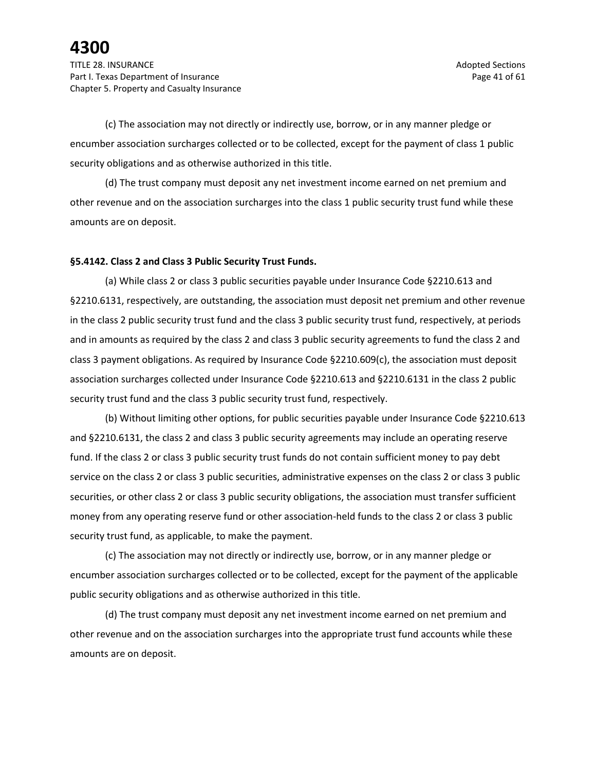(c) The association may not directly or indirectly use, borrow, or in any manner pledge or encumber association surcharges collected or to be collected, except for the payment of class 1 public security obligations and as otherwise authorized in this title.

(d) The trust company must deposit any net investment income earned on net premium and other revenue and on the association surcharges into the class 1 public security trust fund while these amounts are on deposit.

#### **§5.4142. Class 2 and Class 3 Public Security Trust Funds.**

(a) While class 2 or class 3 public securities payable under Insurance Code §2210.613 and §2210.6131, respectively, are outstanding, the association must deposit net premium and other revenue in the class 2 public security trust fund and the class 3 public security trust fund, respectively, at periods and in amounts as required by the class 2 and class 3 public security agreements to fund the class 2 and class 3 payment obligations. As required by Insurance Code §2210.609(c), the association must deposit association surcharges collected under Insurance Code §2210.613 and §2210.6131 in the class 2 public security trust fund and the class 3 public security trust fund, respectively.

(b) Without limiting other options, for public securities payable under Insurance Code §2210.613 and §2210.6131, the class 2 and class 3 public security agreements may include an operating reserve fund. If the class 2 or class 3 public security trust funds do not contain sufficient money to pay debt service on the class 2 or class 3 public securities, administrative expenses on the class 2 or class 3 public securities, or other class 2 or class 3 public security obligations, the association must transfer sufficient money from any operating reserve fund or other association-held funds to the class 2 or class 3 public security trust fund, as applicable, to make the payment.

(c) The association may not directly or indirectly use, borrow, or in any manner pledge or encumber association surcharges collected or to be collected, except for the payment of the applicable public security obligations and as otherwise authorized in this title.

(d) The trust company must deposit any net investment income earned on net premium and other revenue and on the association surcharges into the appropriate trust fund accounts while these amounts are on deposit.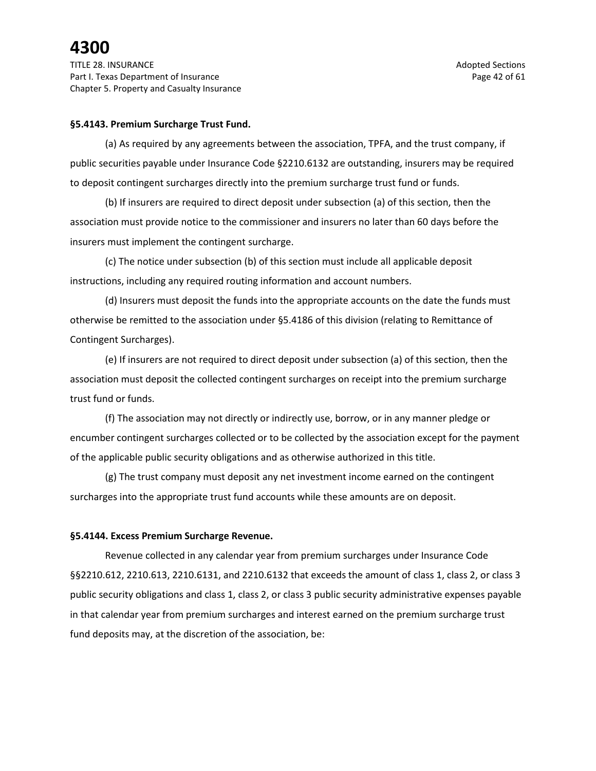#### **§5.4143. Premium Surcharge Trust Fund.**

(a) As required by any agreements between the association, TPFA, and the trust company, if public securities payable under Insurance Code §2210.6132 are outstanding, insurers may be required to deposit contingent surcharges directly into the premium surcharge trust fund or funds.

(b) If insurers are required to direct deposit under subsection (a) of this section, then the association must provide notice to the commissioner and insurers no later than 60 days before the insurers must implement the contingent surcharge.

(c) The notice under subsection (b) of this section must include all applicable deposit instructions, including any required routing information and account numbers.

(d) Insurers must deposit the funds into the appropriate accounts on the date the funds must otherwise be remitted to the association under §5.4186 of this division (relating to Remittance of Contingent Surcharges).

(e) If insurers are not required to direct deposit under subsection (a) of this section, then the association must deposit the collected contingent surcharges on receipt into the premium surcharge trust fund or funds.

(f) The association may not directly or indirectly use, borrow, or in any manner pledge or encumber contingent surcharges collected or to be collected by the association except for the payment of the applicable public security obligations and as otherwise authorized in this title.

(g) The trust company must deposit any net investment income earned on the contingent surcharges into the appropriate trust fund accounts while these amounts are on deposit.

#### **§5.4144. Excess Premium Surcharge Revenue.**

Revenue collected in any calendar year from premium surcharges under Insurance Code §§2210.612, 2210.613, 2210.6131, and 2210.6132 that exceeds the amount of class 1, class 2, or class 3 public security obligations and class 1, class 2, or class 3 public security administrative expenses payable in that calendar year from premium surcharges and interest earned on the premium surcharge trust fund deposits may, at the discretion of the association, be: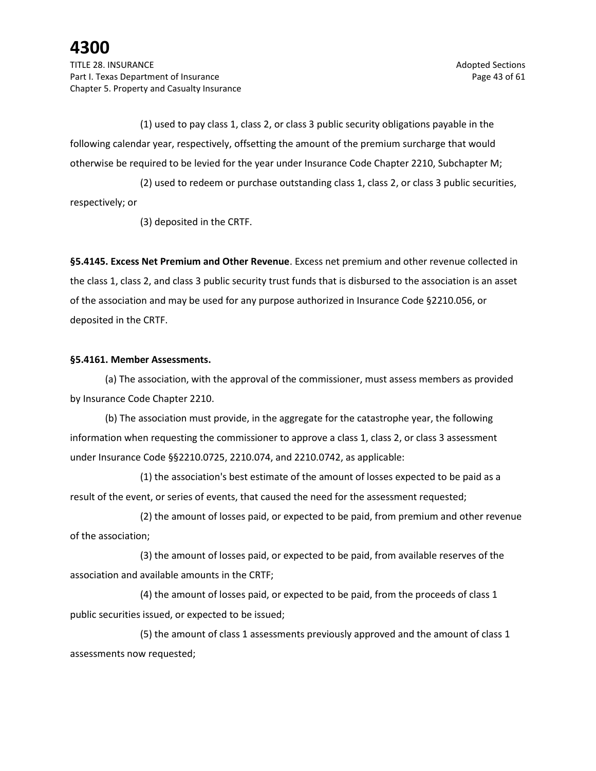TITLE 28. INSURANCE Adopted Sections and the section of the section of the sections of the sections of the sections of the sections of the sections of the sections of the sections of the sections of the sections of the sec Part I. Texas Department of Insurance **Page 43 of 61** and the Page 43 of 61 Chapter 5. Property and Casualty Insurance

(1) used to pay class 1, class 2, or class 3 public security obligations payable in the following calendar year, respectively, offsetting the amount of the premium surcharge that would otherwise be required to be levied for the year under Insurance Code Chapter 2210, Subchapter M;

(2) used to redeem or purchase outstanding class 1, class 2, or class 3 public securities, respectively; or

(3) deposited in the CRTF.

**§5.4145. Excess Net Premium and Other Revenue**. Excess net premium and other revenue collected in the class 1, class 2, and class 3 public security trust funds that is disbursed to the association is an asset of the association and may be used for any purpose authorized in Insurance Code §2210.056, or deposited in the CRTF.

### **§5.4161. Member Assessments.**

(a) The association, with the approval of the commissioner, must assess members as provided by Insurance Code Chapter 2210.

(b) The association must provide, in the aggregate for the catastrophe year, the following information when requesting the commissioner to approve a class 1, class 2, or class 3 assessment under Insurance Code §§2210.0725, 2210.074, and 2210.0742, as applicable:

(1) the association's best estimate of the amount of losses expected to be paid as a result of the event, or series of events, that caused the need for the assessment requested;

(2) the amount of losses paid, or expected to be paid, from premium and other revenue of the association;

(3) the amount of losses paid, or expected to be paid, from available reserves of the association and available amounts in the CRTF;

(4) the amount of losses paid, or expected to be paid, from the proceeds of class 1 public securities issued, or expected to be issued;

(5) the amount of class 1 assessments previously approved and the amount of class 1 assessments now requested;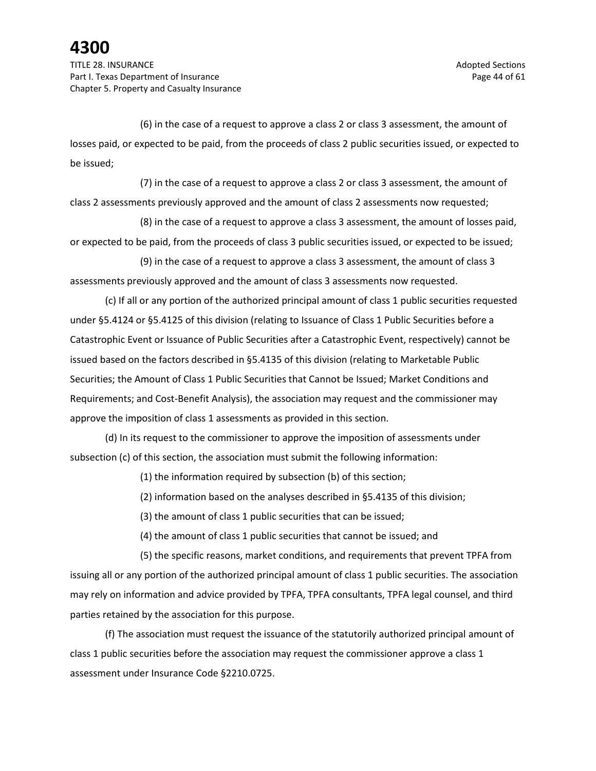TITLE 28. INSURANCE Adopted Sections and the section of the section of the sections of the sections of the sections of the sections of the sections of the sections of the sections of the sections of the sections of the sec Part I. Texas Department of Insurance **Page 44 of 61** and 200 and 200 and 200 and 200 and 200 and 200 and 200 and 200 and 200 and 200 and 200 and 200 and 200 and 200 and 200 and 200 and 200 and 200 and 200 and 200 and 200 Chapter 5. Property and Casualty Insurance

(6) in the case of a request to approve a class 2 or class 3 assessment, the amount of losses paid, or expected to be paid, from the proceeds of class 2 public securities issued, or expected to be issued;

(7) in the case of a request to approve a class 2 or class 3 assessment, the amount of class 2 assessments previously approved and the amount of class 2 assessments now requested;

(8) in the case of a request to approve a class 3 assessment, the amount of losses paid, or expected to be paid, from the proceeds of class 3 public securities issued, or expected to be issued;

(9) in the case of a request to approve a class 3 assessment, the amount of class 3 assessments previously approved and the amount of class 3 assessments now requested.

(c) If all or any portion of the authorized principal amount of class 1 public securities requested under §5.4124 or §5.4125 of this division (relating to Issuance of Class 1 Public Securities before a Catastrophic Event or Issuance of Public Securities after a Catastrophic Event, respectively) cannot be issued based on the factors described in §5.4135 of this division (relating to Marketable Public Securities; the Amount of Class 1 Public Securities that Cannot be Issued; Market Conditions and Requirements; and Cost-Benefit Analysis), the association may request and the commissioner may approve the imposition of class 1 assessments as provided in this section.

(d) In its request to the commissioner to approve the imposition of assessments under subsection (c) of this section, the association must submit the following information:

(1) the information required by subsection (b) of this section;

(2) information based on the analyses described in §5.4135 of this division;

(3) the amount of class 1 public securities that can be issued;

(4) the amount of class 1 public securities that cannot be issued; and

(5) the specific reasons, market conditions, and requirements that prevent TPFA from issuing all or any portion of the authorized principal amount of class 1 public securities. The association may rely on information and advice provided by TPFA, TPFA consultants, TPFA legal counsel, and third parties retained by the association for this purpose.

(f) The association must request the issuance of the statutorily authorized principal amount of class 1 public securities before the association may request the commissioner approve a class 1 assessment under Insurance Code §2210.0725.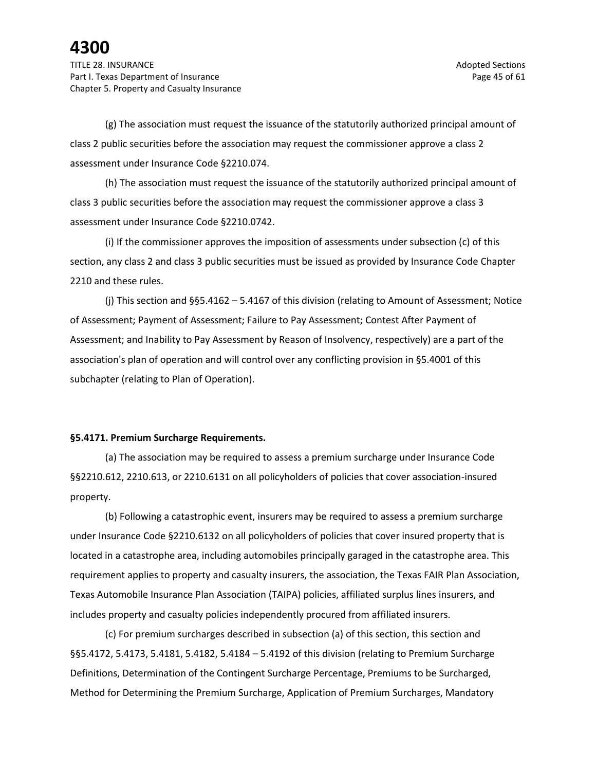TITLE 28. INSURANCE Adopted Sections and the section of the section of the section of the sections of the sections of the sections of the sections of the sections of the sections of the sections of the sections of the sect Part I. Texas Department of Insurance **Page 45 of 61** and the Page 45 of 61 Chapter 5. Property and Casualty Insurance

(g) The association must request the issuance of the statutorily authorized principal amount of class 2 public securities before the association may request the commissioner approve a class 2 assessment under Insurance Code §2210.074.

(h) The association must request the issuance of the statutorily authorized principal amount of class 3 public securities before the association may request the commissioner approve a class 3 assessment under Insurance Code §2210.0742.

(i) If the commissioner approves the imposition of assessments under subsection (c) of this section, any class 2 and class 3 public securities must be issued as provided by Insurance Code Chapter 2210 and these rules.

(j) This section and §§5.4162 – 5.4167 of this division (relating to Amount of Assessment; Notice of Assessment; Payment of Assessment; Failure to Pay Assessment; Contest After Payment of Assessment; and Inability to Pay Assessment by Reason of Insolvency, respectively) are a part of the association's plan of operation and will control over any conflicting provision in §5.4001 of this subchapter (relating to Plan of Operation).

#### **§5.4171. Premium Surcharge Requirements.**

(a) The association may be required to assess a premium surcharge under Insurance Code §§2210.612, 2210.613, or 2210.6131 on all policyholders of policies that cover association-insured property.

(b) Following a catastrophic event, insurers may be required to assess a premium surcharge under Insurance Code §2210.6132 on all policyholders of policies that cover insured property that is located in a catastrophe area, including automobiles principally garaged in the catastrophe area. This requirement applies to property and casualty insurers, the association, the Texas FAIR Plan Association, Texas Automobile Insurance Plan Association (TAIPA) policies, affiliated surplus lines insurers, and includes property and casualty policies independently procured from affiliated insurers.

(c) For premium surcharges described in subsection (a) of this section, this section and §§5.4172, 5.4173, 5.4181, 5.4182, 5.4184 – 5.4192 of this division (relating to Premium Surcharge Definitions, Determination of the Contingent Surcharge Percentage, Premiums to be Surcharged, Method for Determining the Premium Surcharge, Application of Premium Surcharges, Mandatory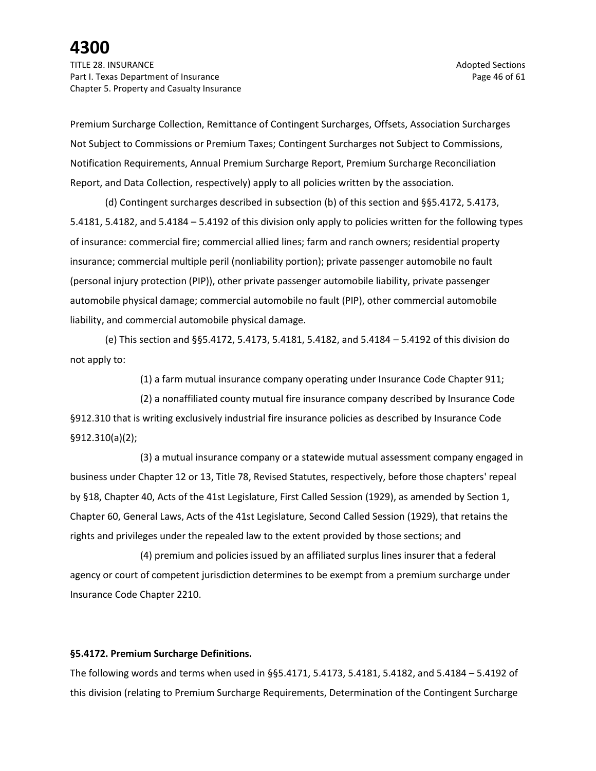TITLE 28. INSURANCE Adopted Sections and the section of the section of the section of the sections of the sections of the sections of the sections of the sections of the sections of the sections of the sections of the sect Part I. Texas Department of Insurance **Page 46 of 61** and 200 and 200 and 200 and 200 and 200 and 200 and 200 and 200 and 200 and 200 and 200 and 200 and 200 and 200 and 200 and 200 and 200 and 200 and 200 and 200 and 200 Chapter 5. Property and Casualty Insurance

Premium Surcharge Collection, Remittance of Contingent Surcharges, Offsets, Association Surcharges Not Subject to Commissions or Premium Taxes; Contingent Surcharges not Subject to Commissions, Notification Requirements, Annual Premium Surcharge Report, Premium Surcharge Reconciliation Report, and Data Collection, respectively) apply to all policies written by the association.

(d) Contingent surcharges described in subsection (b) of this section and §§5.4172, 5.4173, 5.4181, 5.4182, and 5.4184 – 5.4192 of this division only apply to policies written for the following types of insurance: commercial fire; commercial allied lines; farm and ranch owners; residential property insurance; commercial multiple peril (nonliability portion); private passenger automobile no fault (personal injury protection (PIP)), other private passenger automobile liability, private passenger automobile physical damage; commercial automobile no fault (PIP), other commercial automobile liability, and commercial automobile physical damage.

(e) This section and §§5.4172, 5.4173, 5.4181, 5.4182, and 5.4184 – 5.4192 of this division do not apply to:

(1) a farm mutual insurance company operating under Insurance Code Chapter 911;

(2) a nonaffiliated county mutual fire insurance company described by Insurance Code §912.310 that is writing exclusively industrial fire insurance policies as described by Insurance Code §912.310(a)(2);

(3) a mutual insurance company or a statewide mutual assessment company engaged in business under Chapter 12 or 13, Title 78, Revised Statutes, respectively, before those chapters' repeal by §18, Chapter 40, Acts of the 41st Legislature, First Called Session (1929), as amended by Section 1, Chapter 60, General Laws, Acts of the 41st Legislature, Second Called Session (1929), that retains the rights and privileges under the repealed law to the extent provided by those sections; and

(4) premium and policies issued by an affiliated surplus lines insurer that a federal agency or court of competent jurisdiction determines to be exempt from a premium surcharge under Insurance Code Chapter 2210.

#### **§5.4172. Premium Surcharge Definitions.**

The following words and terms when used in §§5.4171, 5.4173, 5.4181, 5.4182, and 5.4184 – 5.4192 of this division (relating to Premium Surcharge Requirements, Determination of the Contingent Surcharge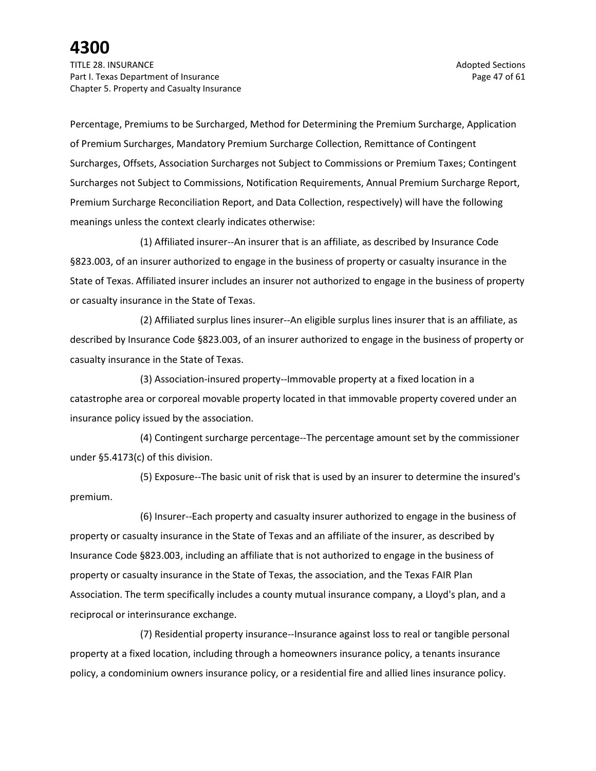TITLE 28. INSURANCE Adopted Sections and the section of the section of the section of the sections of the sections of the sections of the sections of the sections of the sections of the sections of the sections of the sect Part I. Texas Department of Insurance **Page 47** of 61 Chapter 5. Property and Casualty Insurance

Percentage, Premiums to be Surcharged, Method for Determining the Premium Surcharge, Application of Premium Surcharges, Mandatory Premium Surcharge Collection, Remittance of Contingent Surcharges, Offsets, Association Surcharges not Subject to Commissions or Premium Taxes; Contingent Surcharges not Subject to Commissions, Notification Requirements, Annual Premium Surcharge Report, Premium Surcharge Reconciliation Report, and Data Collection, respectively) will have the following meanings unless the context clearly indicates otherwise:

(1) Affiliated insurer--An insurer that is an affiliate, as described by Insurance Code §823.003, of an insurer authorized to engage in the business of property or casualty insurance in the State of Texas. Affiliated insurer includes an insurer not authorized to engage in the business of property or casualty insurance in the State of Texas.

(2) Affiliated surplus lines insurer--An eligible surplus lines insurer that is an affiliate, as described by Insurance Code §823.003, of an insurer authorized to engage in the business of property or casualty insurance in the State of Texas.

(3) Association-insured property--Immovable property at a fixed location in a catastrophe area or corporeal movable property located in that immovable property covered under an insurance policy issued by the association.

(4) Contingent surcharge percentage--The percentage amount set by the commissioner under §5.4173(c) of this division.

(5) Exposure--The basic unit of risk that is used by an insurer to determine the insured's premium.

(6) Insurer--Each property and casualty insurer authorized to engage in the business of property or casualty insurance in the State of Texas and an affiliate of the insurer, as described by Insurance Code §823.003, including an affiliate that is not authorized to engage in the business of property or casualty insurance in the State of Texas, the association, and the Texas FAIR Plan Association. The term specifically includes a county mutual insurance company, a Lloyd's plan, and a reciprocal or interinsurance exchange.

(7) Residential property insurance--Insurance against loss to real or tangible personal property at a fixed location, including through a homeowners insurance policy, a tenants insurance policy, a condominium owners insurance policy, or a residential fire and allied lines insurance policy.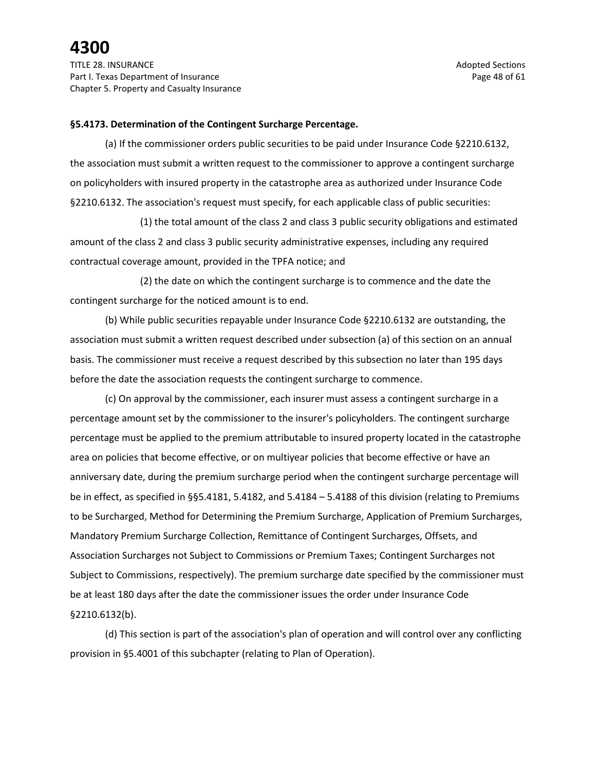TITLE 28. INSURANCE Adopted Sections and the section of the section of the section of the sections of the sections of the sections of the sections of the sections of the sections of the sections of the sections of the sect Part I. Texas Department of Insurance **Page 48 of 61** and 200 and 200 and 200 and 200 and 200 and 200 and 200 and 200 and 200 and 200 and 200 and 200 and 200 and 200 and 200 and 200 and 200 and 200 and 200 and 200 and 200 Chapter 5. Property and Casualty Insurance

#### **§5.4173. Determination of the Contingent Surcharge Percentage.**

(a) If the commissioner orders public securities to be paid under Insurance Code §2210.6132, the association must submit a written request to the commissioner to approve a contingent surcharge on policyholders with insured property in the catastrophe area as authorized under Insurance Code §2210.6132. The association's request must specify, for each applicable class of public securities:

(1) the total amount of the class 2 and class 3 public security obligations and estimated amount of the class 2 and class 3 public security administrative expenses, including any required contractual coverage amount, provided in the TPFA notice; and

(2) the date on which the contingent surcharge is to commence and the date the contingent surcharge for the noticed amount is to end.

(b) While public securities repayable under Insurance Code §2210.6132 are outstanding, the association must submit a written request described under subsection (a) of this section on an annual basis. The commissioner must receive a request described by this subsection no later than 195 days before the date the association requests the contingent surcharge to commence.

(c) On approval by the commissioner, each insurer must assess a contingent surcharge in a percentage amount set by the commissioner to the insurer's policyholders. The contingent surcharge percentage must be applied to the premium attributable to insured property located in the catastrophe area on policies that become effective, or on multiyear policies that become effective or have an anniversary date, during the premium surcharge period when the contingent surcharge percentage will be in effect, as specified in §§5.4181, 5.4182, and 5.4184 – 5.4188 of this division (relating to Premiums to be Surcharged, Method for Determining the Premium Surcharge, Application of Premium Surcharges, Mandatory Premium Surcharge Collection, Remittance of Contingent Surcharges, Offsets, and Association Surcharges not Subject to Commissions or Premium Taxes; Contingent Surcharges not Subject to Commissions, respectively). The premium surcharge date specified by the commissioner must be at least 180 days after the date the commissioner issues the order under Insurance Code §2210.6132(b).

(d) This section is part of the association's plan of operation and will control over any conflicting provision in §5.4001 of this subchapter (relating to Plan of Operation).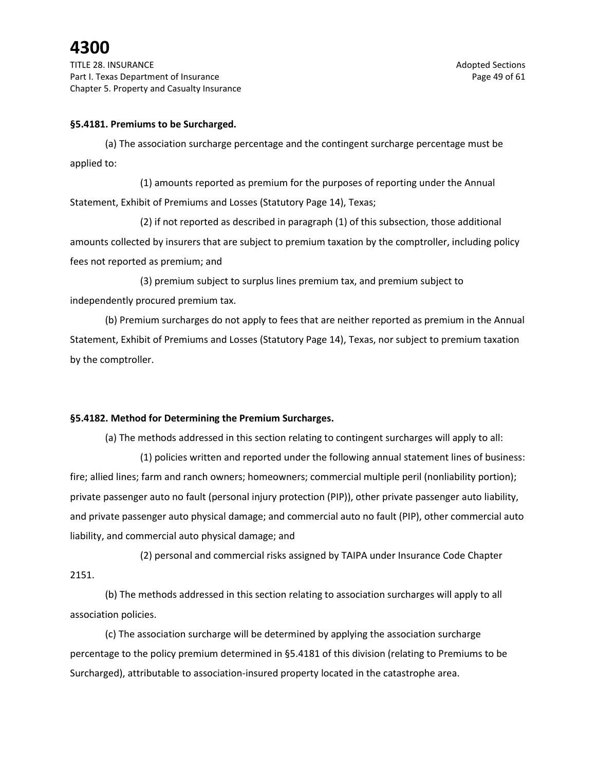TITLE 28. INSURANCE Adopted Sections and the section of the section of the section of the sections of the sections of the sections of the sections of the sections of the sections of the sections of the sections of the sect Part I. Texas Department of Insurance **Page 49 of 61** and 200 and 200 and 200 and 200 and 200 and 200 and 200 and 200 and 200 and 200 and 200 and 200 and 200 and 200 and 200 and 200 and 200 and 200 and 200 and 200 and 200 Chapter 5. Property and Casualty Insurance

### **§5.4181. Premiums to be Surcharged.**

(a) The association surcharge percentage and the contingent surcharge percentage must be applied to:

(1) amounts reported as premium for the purposes of reporting under the Annual Statement, Exhibit of Premiums and Losses (Statutory Page 14), Texas;

(2) if not reported as described in paragraph (1) of this subsection, those additional amounts collected by insurers that are subject to premium taxation by the comptroller, including policy fees not reported as premium; and

(3) premium subject to surplus lines premium tax, and premium subject to independently procured premium tax.

(b) Premium surcharges do not apply to fees that are neither reported as premium in the Annual Statement, Exhibit of Premiums and Losses (Statutory Page 14), Texas, nor subject to premium taxation by the comptroller.

#### **§5.4182. Method for Determining the Premium Surcharges.**

(a) The methods addressed in this section relating to contingent surcharges will apply to all:

(1) policies written and reported under the following annual statement lines of business: fire; allied lines; farm and ranch owners; homeowners; commercial multiple peril (nonliability portion); private passenger auto no fault (personal injury protection (PIP)), other private passenger auto liability, and private passenger auto physical damage; and commercial auto no fault (PIP), other commercial auto liability, and commercial auto physical damage; and

(2) personal and commercial risks assigned by TAIPA under Insurance Code Chapter 2151.

(b) The methods addressed in this section relating to association surcharges will apply to all association policies.

(c) The association surcharge will be determined by applying the association surcharge percentage to the policy premium determined in §5.4181 of this division (relating to Premiums to be Surcharged), attributable to association-insured property located in the catastrophe area.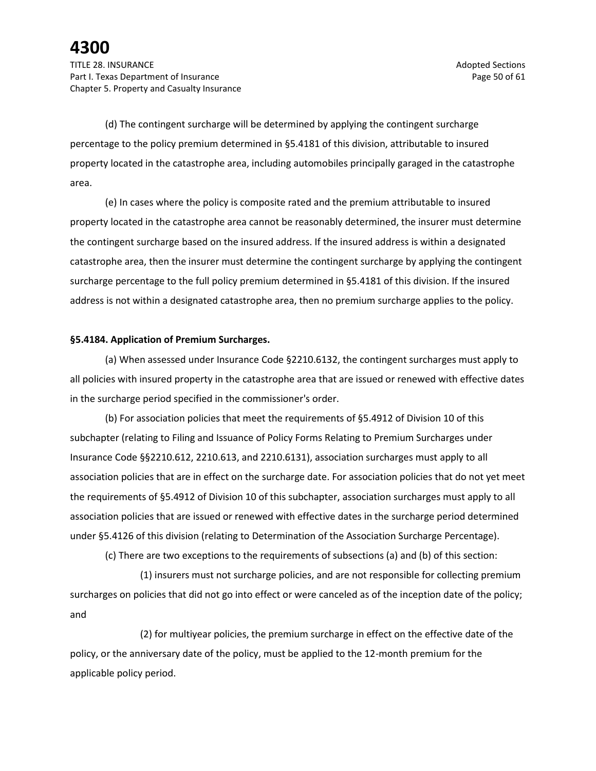(d) The contingent surcharge will be determined by applying the contingent surcharge percentage to the policy premium determined in §5.4181 of this division, attributable to insured property located in the catastrophe area, including automobiles principally garaged in the catastrophe area.

(e) In cases where the policy is composite rated and the premium attributable to insured property located in the catastrophe area cannot be reasonably determined, the insurer must determine the contingent surcharge based on the insured address. If the insured address is within a designated catastrophe area, then the insurer must determine the contingent surcharge by applying the contingent surcharge percentage to the full policy premium determined in §5.4181 of this division. If the insured address is not within a designated catastrophe area, then no premium surcharge applies to the policy.

#### **§5.4184. Application of Premium Surcharges.**

(a) When assessed under Insurance Code §2210.6132, the contingent surcharges must apply to all policies with insured property in the catastrophe area that are issued or renewed with effective dates in the surcharge period specified in the commissioner's order.

(b) For association policies that meet the requirements of §5.4912 of Division 10 of this subchapter (relating to Filing and Issuance of Policy Forms Relating to Premium Surcharges under Insurance Code §§2210.612, 2210.613, and 2210.6131), association surcharges must apply to all association policies that are in effect on the surcharge date. For association policies that do not yet meet the requirements of §5.4912 of Division 10 of this subchapter, association surcharges must apply to all association policies that are issued or renewed with effective dates in the surcharge period determined under §5.4126 of this division (relating to Determination of the Association Surcharge Percentage).

(c) There are two exceptions to the requirements of subsections (a) and (b) of this section:

(1) insurers must not surcharge policies, and are not responsible for collecting premium surcharges on policies that did not go into effect or were canceled as of the inception date of the policy; and

(2) for multiyear policies, the premium surcharge in effect on the effective date of the policy, or the anniversary date of the policy, must be applied to the 12-month premium for the applicable policy period.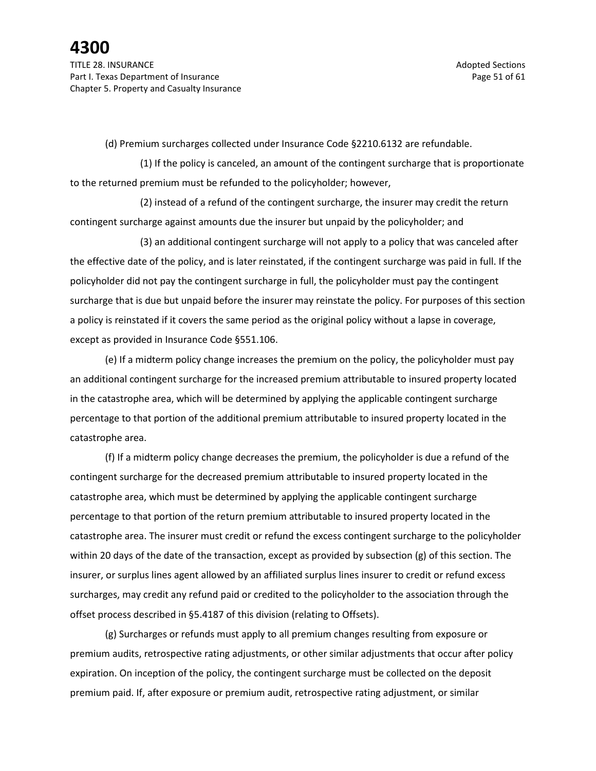(d) Premium surcharges collected under Insurance Code §2210.6132 are refundable.

(1) If the policy is canceled, an amount of the contingent surcharge that is proportionate to the returned premium must be refunded to the policyholder; however,

(2) instead of a refund of the contingent surcharge, the insurer may credit the return contingent surcharge against amounts due the insurer but unpaid by the policyholder; and

(3) an additional contingent surcharge will not apply to a policy that was canceled after the effective date of the policy, and is later reinstated, if the contingent surcharge was paid in full. If the policyholder did not pay the contingent surcharge in full, the policyholder must pay the contingent surcharge that is due but unpaid before the insurer may reinstate the policy. For purposes of this section a policy is reinstated if it covers the same period as the original policy without a lapse in coverage, except as provided in Insurance Code §551.106.

(e) If a midterm policy change increases the premium on the policy, the policyholder must pay an additional contingent surcharge for the increased premium attributable to insured property located in the catastrophe area, which will be determined by applying the applicable contingent surcharge percentage to that portion of the additional premium attributable to insured property located in the catastrophe area.

(f) If a midterm policy change decreases the premium, the policyholder is due a refund of the contingent surcharge for the decreased premium attributable to insured property located in the catastrophe area, which must be determined by applying the applicable contingent surcharge percentage to that portion of the return premium attributable to insured property located in the catastrophe area. The insurer must credit or refund the excess contingent surcharge to the policyholder within 20 days of the date of the transaction, except as provided by subsection (g) of this section. The insurer, or surplus lines agent allowed by an affiliated surplus lines insurer to credit or refund excess surcharges, may credit any refund paid or credited to the policyholder to the association through the offset process described in §5.4187 of this division (relating to Offsets).

(g) Surcharges or refunds must apply to all premium changes resulting from exposure or premium audits, retrospective rating adjustments, or other similar adjustments that occur after policy expiration. On inception of the policy, the contingent surcharge must be collected on the deposit premium paid. If, after exposure or premium audit, retrospective rating adjustment, or similar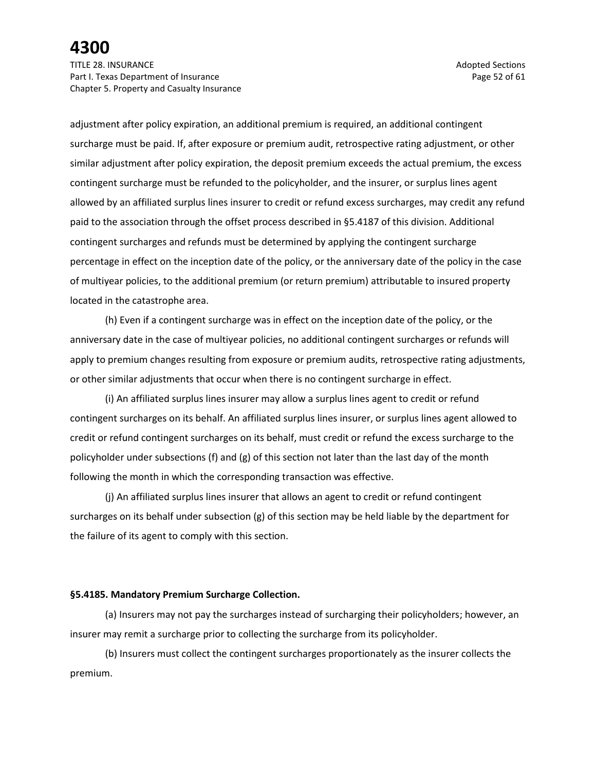TITLE 28. INSURANCE Adopted Sections and the section of the section of the section of the sections of the sections of the sections of the sections of the sections of the sections of the sections of the sections of the sect Part I. Texas Department of Insurance **Page 52** of 61 Chapter 5. Property and Casualty Insurance

adjustment after policy expiration, an additional premium is required, an additional contingent surcharge must be paid. If, after exposure or premium audit, retrospective rating adjustment, or other similar adjustment after policy expiration, the deposit premium exceeds the actual premium, the excess contingent surcharge must be refunded to the policyholder, and the insurer, or surplus lines agent allowed by an affiliated surplus lines insurer to credit or refund excess surcharges, may credit any refund paid to the association through the offset process described in §5.4187 of this division. Additional contingent surcharges and refunds must be determined by applying the contingent surcharge percentage in effect on the inception date of the policy, or the anniversary date of the policy in the case of multiyear policies, to the additional premium (or return premium) attributable to insured property located in the catastrophe area.

(h) Even if a contingent surcharge was in effect on the inception date of the policy, or the anniversary date in the case of multiyear policies, no additional contingent surcharges or refunds will apply to premium changes resulting from exposure or premium audits, retrospective rating adjustments, or other similar adjustments that occur when there is no contingent surcharge in effect.

(i) An affiliated surplus lines insurer may allow a surplus lines agent to credit or refund contingent surcharges on its behalf. An affiliated surplus lines insurer, or surplus lines agent allowed to credit or refund contingent surcharges on its behalf, must credit or refund the excess surcharge to the policyholder under subsections (f) and (g) of this section not later than the last day of the month following the month in which the corresponding transaction was effective.

(j) An affiliated surplus lines insurer that allows an agent to credit or refund contingent surcharges on its behalf under subsection (g) of this section may be held liable by the department for the failure of its agent to comply with this section.

#### **§5.4185. Mandatory Premium Surcharge Collection.**

(a) Insurers may not pay the surcharges instead of surcharging their policyholders; however, an insurer may remit a surcharge prior to collecting the surcharge from its policyholder.

(b) Insurers must collect the contingent surcharges proportionately as the insurer collects the premium.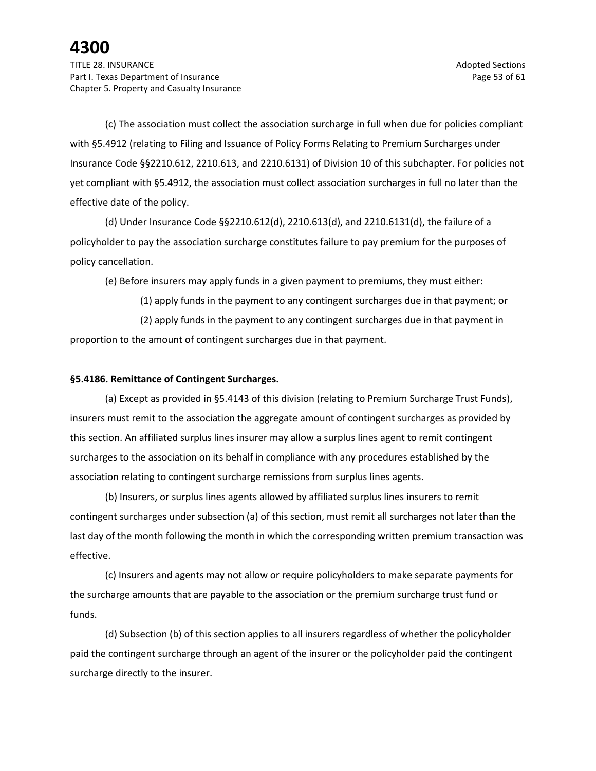(c) The association must collect the association surcharge in full when due for policies compliant with §5.4912 (relating to Filing and Issuance of Policy Forms Relating to Premium Surcharges under Insurance Code §§2210.612, 2210.613, and 2210.6131) of Division 10 of this subchapter. For policies not yet compliant with §5.4912, the association must collect association surcharges in full no later than the effective date of the policy.

(d) Under Insurance Code §§2210.612(d), 2210.613(d), and 2210.6131(d), the failure of a policyholder to pay the association surcharge constitutes failure to pay premium for the purposes of policy cancellation.

(e) Before insurers may apply funds in a given payment to premiums, they must either:

(1) apply funds in the payment to any contingent surcharges due in that payment; or (2) apply funds in the payment to any contingent surcharges due in that payment in proportion to the amount of contingent surcharges due in that payment.

### **§5.4186. Remittance of Contingent Surcharges.**

(a) Except as provided in §5.4143 of this division (relating to Premium Surcharge Trust Funds), insurers must remit to the association the aggregate amount of contingent surcharges as provided by this section. An affiliated surplus lines insurer may allow a surplus lines agent to remit contingent surcharges to the association on its behalf in compliance with any procedures established by the association relating to contingent surcharge remissions from surplus lines agents.

(b) Insurers, or surplus lines agents allowed by affiliated surplus lines insurers to remit contingent surcharges under subsection (a) of this section, must remit all surcharges not later than the last day of the month following the month in which the corresponding written premium transaction was effective.

(c) Insurers and agents may not allow or require policyholders to make separate payments for the surcharge amounts that are payable to the association or the premium surcharge trust fund or funds.

(d) Subsection (b) of this section applies to all insurers regardless of whether the policyholder paid the contingent surcharge through an agent of the insurer or the policyholder paid the contingent surcharge directly to the insurer.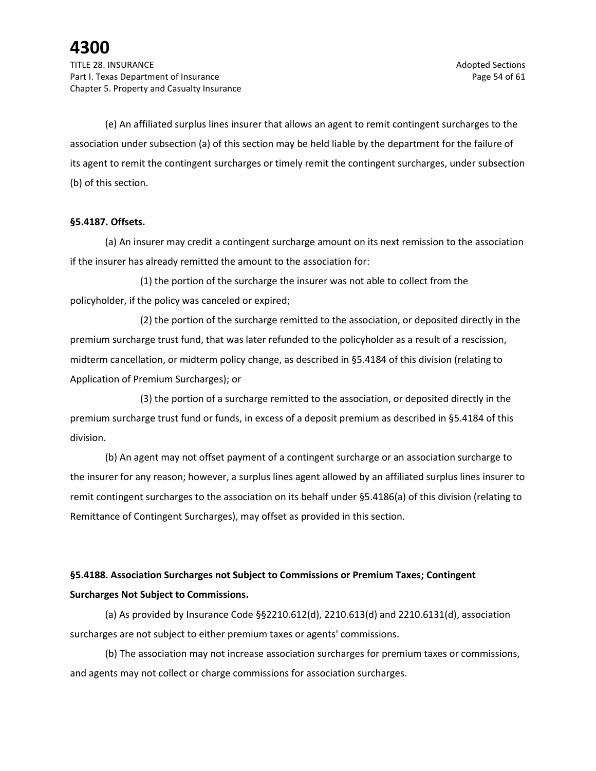(e) An affiliated surplus lines insurer that allows an agent to remit contingent surcharges to the association under subsection (a) of this section may be held liable by the department for the failure of its agent to remit the contingent surcharges or timely remit the contingent surcharges, under subsection (b) of this section.

### **§5.4187. Offsets.**

(a) An insurer may credit a contingent surcharge amount on its next remission to the association if the insurer has already remitted the amount to the association for:

(1) the portion of the surcharge the insurer was not able to collect from the policyholder, if the policy was canceled or expired;

(2) the portion of the surcharge remitted to the association, or deposited directly in the premium surcharge trust fund, that was later refunded to the policyholder as a result of a rescission, midterm cancellation, or midterm policy change, as described in §5.4184 of this division (relating to Application of Premium Surcharges); or

(3) the portion of a surcharge remitted to the association, or deposited directly in the premium surcharge trust fund or funds, in excess of a deposit premium as described in §5.4184 of this division.

(b) An agent may not offset payment of a contingent surcharge or an association surcharge to the insurer for any reason; however, a surplus lines agent allowed by an affiliated surplus lines insurer to remit contingent surcharges to the association on its behalf under §5.4186(a) of this division (relating to Remittance of Contingent Surcharges), may offset as provided in this section.

### **§5.4188. Association Surcharges not Subject to Commissions or Premium Taxes; Contingent Surcharges Not Subject to Commissions.**

(a) As provided by Insurance Code §§2210.612(d), 2210.613(d) and 2210.6131(d), association surcharges are not subject to either premium taxes or agents' commissions.

(b) The association may not increase association surcharges for premium taxes or commissions, and agents may not collect or charge commissions for association surcharges.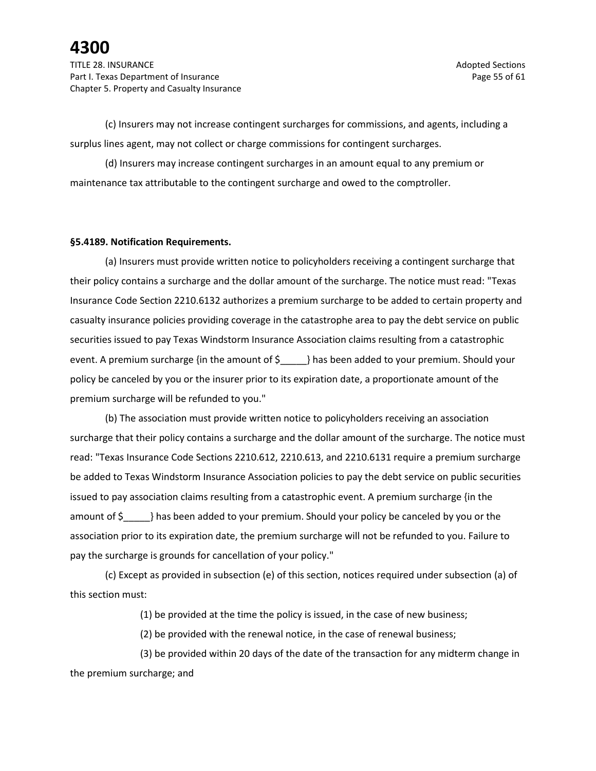(c) Insurers may not increase contingent surcharges for commissions, and agents, including a surplus lines agent, may not collect or charge commissions for contingent surcharges.

(d) Insurers may increase contingent surcharges in an amount equal to any premium or maintenance tax attributable to the contingent surcharge and owed to the comptroller.

#### **§5.4189. Notification Requirements.**

(a) Insurers must provide written notice to policyholders receiving a contingent surcharge that their policy contains a surcharge and the dollar amount of the surcharge. The notice must read: "Texas Insurance Code Section 2210.6132 authorizes a premium surcharge to be added to certain property and casualty insurance policies providing coverage in the catastrophe area to pay the debt service on public securities issued to pay Texas Windstorm Insurance Association claims resulting from a catastrophic event. A premium surcharge {in the amount of \$ } has been added to your premium. Should your policy be canceled by you or the insurer prior to its expiration date, a proportionate amount of the premium surcharge will be refunded to you."

(b) The association must provide written notice to policyholders receiving an association surcharge that their policy contains a surcharge and the dollar amount of the surcharge. The notice must read: "Texas Insurance Code Sections 2210.612, 2210.613, and 2210.6131 require a premium surcharge be added to Texas Windstorm Insurance Association policies to pay the debt service on public securities issued to pay association claims resulting from a catastrophic event. A premium surcharge {in the amount of  $\oint$  } has been added to your premium. Should your policy be canceled by you or the association prior to its expiration date, the premium surcharge will not be refunded to you. Failure to pay the surcharge is grounds for cancellation of your policy."

(c) Except as provided in subsection (e) of this section, notices required under subsection (a) of this section must:

(1) be provided at the time the policy is issued, in the case of new business;

(2) be provided with the renewal notice, in the case of renewal business;

(3) be provided within 20 days of the date of the transaction for any midterm change in the premium surcharge; and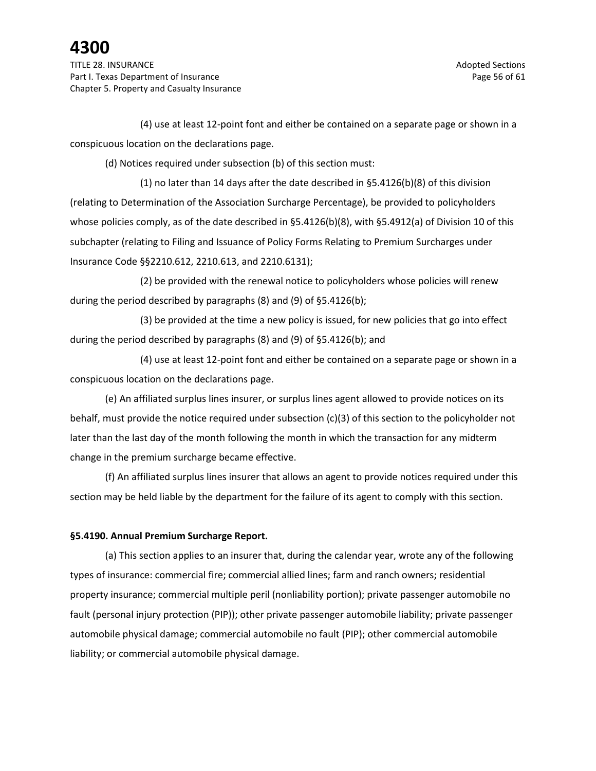TITLE 28. INSURANCE Adopted Sections and the section of the section of the sections of the sections of the sections of the sections of the sections of the sections of the sections of the sections of the sections of the sec Part I. Texas Department of Insurance **Page 56 of 61** and 200 and 200 and 200 and 200 and 200 and 200 and 200 and 200 and 200 and 200 and 200 and 200 and 200 and 200 and 200 and 200 and 200 and 200 and 200 and 200 and 200 Chapter 5. Property and Casualty Insurance

(4) use at least 12-point font and either be contained on a separate page or shown in a conspicuous location on the declarations page.

(d) Notices required under subsection (b) of this section must:

(1) no later than 14 days after the date described in §5.4126(b)(8) of this division (relating to Determination of the Association Surcharge Percentage), be provided to policyholders whose policies comply, as of the date described in §5.4126(b)(8), with §5.4912(a) of Division 10 of this subchapter (relating to Filing and Issuance of Policy Forms Relating to Premium Surcharges under Insurance Code §§2210.612, 2210.613, and 2210.6131);

(2) be provided with the renewal notice to policyholders whose policies will renew during the period described by paragraphs (8) and (9) of §5.4126(b);

(3) be provided at the time a new policy is issued, for new policies that go into effect during the period described by paragraphs (8) and (9) of §5.4126(b); and

(4) use at least 12-point font and either be contained on a separate page or shown in a conspicuous location on the declarations page.

(e) An affiliated surplus lines insurer, or surplus lines agent allowed to provide notices on its behalf, must provide the notice required under subsection (c)(3) of this section to the policyholder not later than the last day of the month following the month in which the transaction for any midterm change in the premium surcharge became effective.

(f) An affiliated surplus lines insurer that allows an agent to provide notices required under this section may be held liable by the department for the failure of its agent to comply with this section.

### **§5.4190. Annual Premium Surcharge Report.**

(a) This section applies to an insurer that, during the calendar year, wrote any of the following types of insurance: commercial fire; commercial allied lines; farm and ranch owners; residential property insurance; commercial multiple peril (nonliability portion); private passenger automobile no fault (personal injury protection (PIP)); other private passenger automobile liability; private passenger automobile physical damage; commercial automobile no fault (PIP); other commercial automobile liability; or commercial automobile physical damage.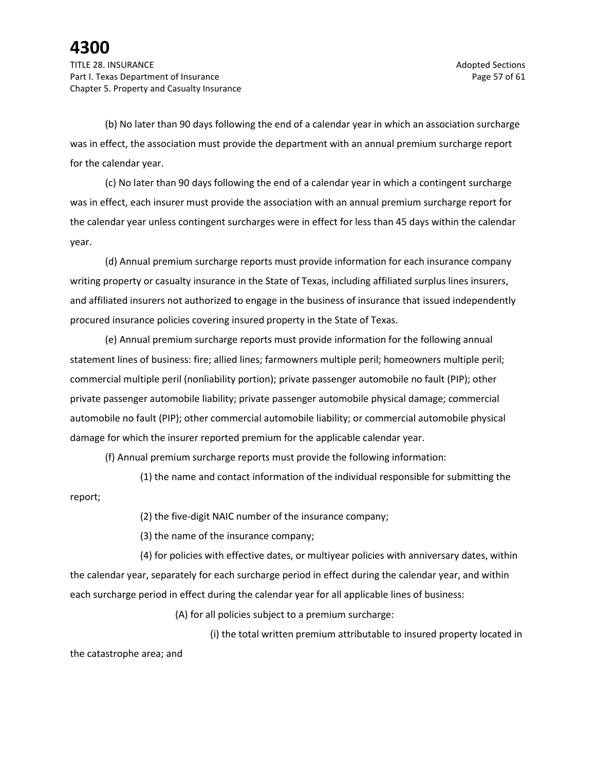(b) No later than 90 days following the end of a calendar year in which an association surcharge was in effect, the association must provide the department with an annual premium surcharge report for the calendar year.

(c) No later than 90 days following the end of a calendar year in which a contingent surcharge was in effect, each insurer must provide the association with an annual premium surcharge report for the calendar year unless contingent surcharges were in effect for less than 45 days within the calendar year.

(d) Annual premium surcharge reports must provide information for each insurance company writing property or casualty insurance in the State of Texas, including affiliated surplus lines insurers, and affiliated insurers not authorized to engage in the business of insurance that issued independently procured insurance policies covering insured property in the State of Texas.

(e) Annual premium surcharge reports must provide information for the following annual statement lines of business: fire; allied lines; farmowners multiple peril; homeowners multiple peril; commercial multiple peril (nonliability portion); private passenger automobile no fault (PIP); other private passenger automobile liability; private passenger automobile physical damage; commercial automobile no fault (PIP); other commercial automobile liability; or commercial automobile physical damage for which the insurer reported premium for the applicable calendar year.

(f) Annual premium surcharge reports must provide the following information:

(1) the name and contact information of the individual responsible for submitting the

report;

(2) the five-digit NAIC number of the insurance company;

(3) the name of the insurance company;

(4) for policies with effective dates, or multiyear policies with anniversary dates, within the calendar year, separately for each surcharge period in effect during the calendar year, and within each surcharge period in effect during the calendar year for all applicable lines of business:

(A) for all policies subject to a premium surcharge:

(i) the total written premium attributable to insured property located in the catastrophe area; and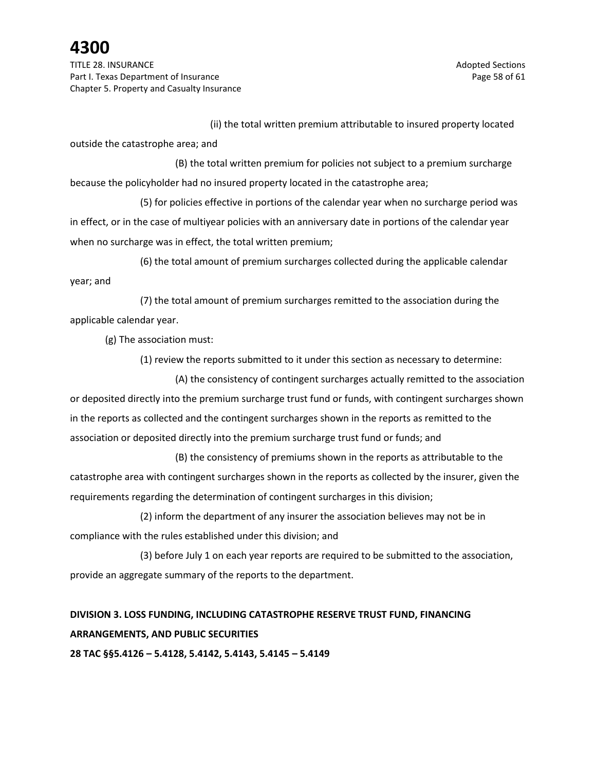TITLE 28. INSURANCE Adopted Sections and the section of the section of the section of the sections of the sections of the sections of the sections of the sections of the sections of the sections of the sections of the sect Part I. Texas Department of Insurance **Page 58** of 61 Chapter 5. Property and Casualty Insurance

(ii) the total written premium attributable to insured property located

outside the catastrophe area; and

(B) the total written premium for policies not subject to a premium surcharge because the policyholder had no insured property located in the catastrophe area;

(5) for policies effective in portions of the calendar year when no surcharge period was in effect, or in the case of multiyear policies with an anniversary date in portions of the calendar year when no surcharge was in effect, the total written premium;

(6) the total amount of premium surcharges collected during the applicable calendar year; and

(7) the total amount of premium surcharges remitted to the association during the applicable calendar year.

(g) The association must:

(1) review the reports submitted to it under this section as necessary to determine:

(A) the consistency of contingent surcharges actually remitted to the association or deposited directly into the premium surcharge trust fund or funds, with contingent surcharges shown in the reports as collected and the contingent surcharges shown in the reports as remitted to the association or deposited directly into the premium surcharge trust fund or funds; and

(B) the consistency of premiums shown in the reports as attributable to the catastrophe area with contingent surcharges shown in the reports as collected by the insurer, given the requirements regarding the determination of contingent surcharges in this division;

(2) inform the department of any insurer the association believes may not be in compliance with the rules established under this division; and

(3) before July 1 on each year reports are required to be submitted to the association, provide an aggregate summary of the reports to the department.

## **DIVISION 3. LOSS FUNDING, INCLUDING CATASTROPHE RESERVE TRUST FUND, FINANCING ARRANGEMENTS, AND PUBLIC SECURITIES**

**28 TAC §§5.4126 – 5.4128, 5.4142, 5.4143, 5.4145 – 5.4149**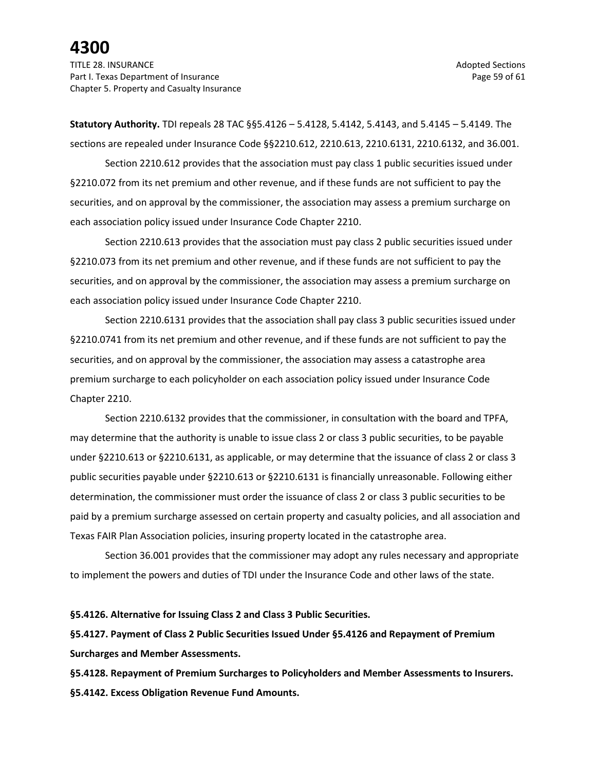TITLE 28. INSURANCE Adopted Sections and the section of the section of the section of the sections of the sections of the sections of the sections of the sections of the sections of the sections of the sections of the sect Part I. Texas Department of Insurance **Page 59** of 61 Chapter 5. Property and Casualty Insurance

**Statutory Authority.** TDI repeals 28 TAC §§5.4126 – 5.4128, 5.4142, 5.4143, and 5.4145 – 5.4149. The sections are repealed under Insurance Code §§2210.612, 2210.613, 2210.6131, 2210.6132, and 36.001.

Section 2210.612 provides that the association must pay class 1 public securities issued under §2210.072 from its net premium and other revenue, and if these funds are not sufficient to pay the securities, and on approval by the commissioner, the association may assess a premium surcharge on each association policy issued under Insurance Code Chapter 2210.

Section 2210.613 provides that the association must pay class 2 public securities issued under §2210.073 from its net premium and other revenue, and if these funds are not sufficient to pay the securities, and on approval by the commissioner, the association may assess a premium surcharge on each association policy issued under Insurance Code Chapter 2210.

Section 2210.6131 provides that the association shall pay class 3 public securities issued under §2210.0741 from its net premium and other revenue, and if these funds are not sufficient to pay the securities, and on approval by the commissioner, the association may assess a catastrophe area premium surcharge to each policyholder on each association policy issued under Insurance Code Chapter 2210.

Section 2210.6132 provides that the commissioner, in consultation with the board and TPFA, may determine that the authority is unable to issue class 2 or class 3 public securities, to be payable under §2210.613 or §2210.6131, as applicable, or may determine that the issuance of class 2 or class 3 public securities payable under §2210.613 or §2210.6131 is financially unreasonable. Following either determination, the commissioner must order the issuance of class 2 or class 3 public securities to be paid by a premium surcharge assessed on certain property and casualty policies, and all association and Texas FAIR Plan Association policies, insuring property located in the catastrophe area.

Section 36.001 provides that the commissioner may adopt any rules necessary and appropriate to implement the powers and duties of TDI under the Insurance Code and other laws of the state.

#### **§5.4126. Alternative for Issuing Class 2 and Class 3 Public Securities.**

**§5.4127. Payment of Class 2 Public Securities Issued Under §5.4126 and Repayment of Premium Surcharges and Member Assessments.**

**§5.4128. Repayment of Premium Surcharges to Policyholders and Member Assessments to Insurers. §5.4142. Excess Obligation Revenue Fund Amounts.**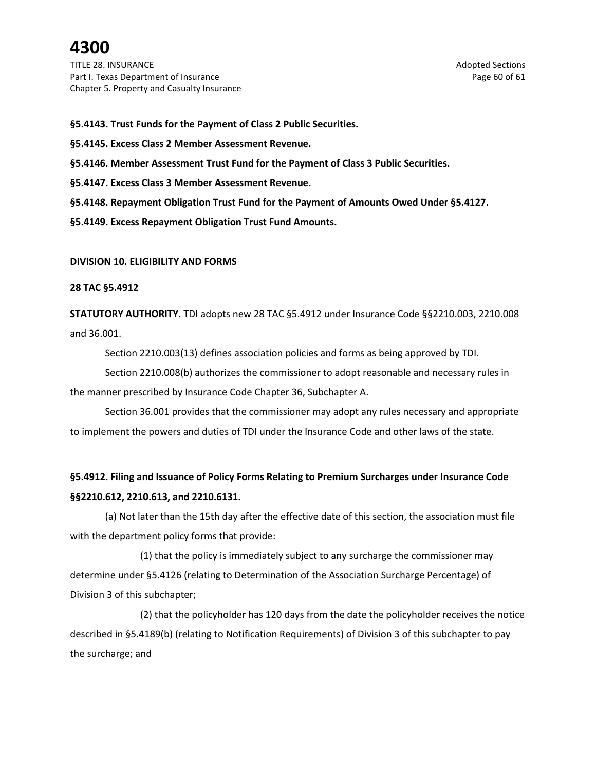TITLE 28. INSURANCE Adopted Sections and the section of the section of the sections of the sections of the sections of the sections of the sections of the sections of the sections of the sections of the sections of the sec Part I. Texas Department of Insurance **Page 60** of 61 Chapter 5. Property and Casualty Insurance

**§5.4143. Trust Funds for the Payment of Class 2 Public Securities.**

**§5.4145. Excess Class 2 Member Assessment Revenue.**

**§5.4146. Member Assessment Trust Fund for the Payment of Class 3 Public Securities.**

**§5.4147. Excess Class 3 Member Assessment Revenue.**

**§5.4148. Repayment Obligation Trust Fund for the Payment of Amounts Owed Under §5.4127.**

**§5.4149. Excess Repayment Obligation Trust Fund Amounts.**

#### **DIVISION 10. ELIGIBILITY AND FORMS**

#### **28 TAC §5.4912**

**STATUTORY AUTHORITY.** TDI adopts new 28 TAC §5.4912 under Insurance Code §§2210.003, 2210.008 and 36.001.

Section 2210.003(13) defines association policies and forms as being approved by TDI.

Section 2210.008(b) authorizes the commissioner to adopt reasonable and necessary rules in the manner prescribed by Insurance Code Chapter 36, Subchapter A.

Section 36.001 provides that the commissioner may adopt any rules necessary and appropriate to implement the powers and duties of TDI under the Insurance Code and other laws of the state.

### **§5.4912. Filing and Issuance of Policy Forms Relating to Premium Surcharges under Insurance Code §§2210.612, 2210.613, and 2210.6131.**

(a) Not later than the 15th day after the effective date of this section, the association must file with the department policy forms that provide:

(1) that the policy is immediately subject to any surcharge the commissioner may determine under §5.4126 (relating to Determination of the Association Surcharge Percentage) of Division 3 of this subchapter;

(2) that the policyholder has 120 days from the date the policyholder receives the notice described in §5.4189(b) (relating to Notification Requirements) of Division 3 of this subchapter to pay the surcharge; and